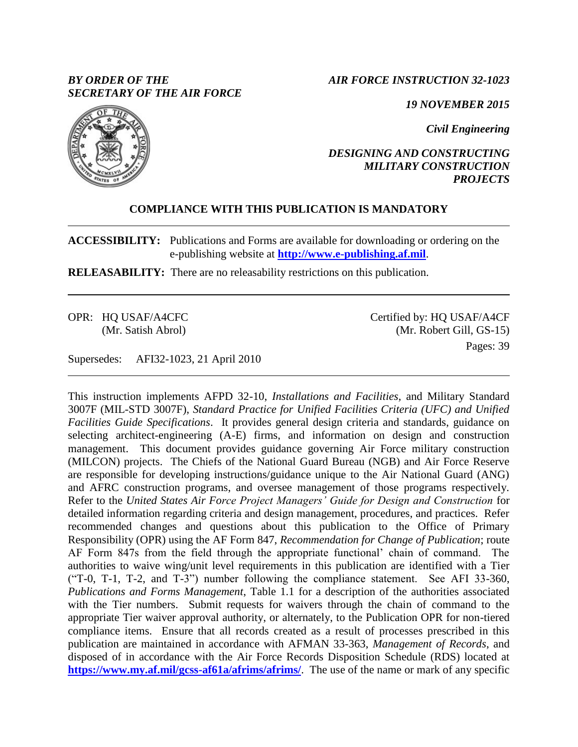## *BY ORDER OF THE SECRETARY OF THE AIR FORCE*

*AIR FORCE INSTRUCTION 32-1023*

*19 NOVEMBER 2015*

*Civil Engineering*

## *DESIGNING AND CONSTRUCTING MILITARY CONSTRUCTION PROJECTS*

## **COMPLIANCE WITH THIS PUBLICATION IS MANDATORY**

**ACCESSIBILITY:** Publications and Forms are available for downloading or ordering on the e-publishing website at **[http://www.e-publishing.af.mil](http://www.e-publishing.af.mil/)**.

**RELEASABILITY:** There are no releasability restrictions on this publication.

OPR: HQ USAF/A4CFC (Mr. Satish Abrol) Certified by: HQ USAF/A4CF (Mr. Robert Gill, GS-15) Pages: 39

Supersedes: AFI32-1023, 21 April 2010

This instruction implements AFPD 32-10, *Installations and Facilities,* and Military Standard 3007F (MIL-STD 3007F), *Standard Practice for Unified Facilities Criteria (UFC) and Unified Facilities Guide Specifications*. It provides general design criteria and standards, guidance on selecting architect-engineering (A-E) firms, and information on design and construction management. This document provides guidance governing Air Force military construction (MILCON) projects. The Chiefs of the National Guard Bureau (NGB) and Air Force Reserve are responsible for developing instructions/guidance unique to the Air National Guard (ANG) and AFRC construction programs, and oversee management of those programs respectively. Refer to the *United States Air Force Project Managers' Guide for Design and Construction* for detailed information regarding criteria and design management, procedures, and practices. Refer recommended changes and questions about this publication to the Office of Primary Responsibility (OPR) using the AF Form 847, *Recommendation for Change of Publication*; route AF Form 847s from the field through the appropriate functional' chain of command. The authorities to waive wing/unit level requirements in this publication are identified with a Tier ("T-0, T-1, T-2, and T-3") number following the compliance statement. See AFI 33-360, *Publications and Forms Management*, Table 1.1 for a description of the authorities associated with the Tier numbers. Submit requests for waivers through the chain of command to the appropriate Tier waiver approval authority, or alternately, to the Publication OPR for non-tiered compliance items. Ensure that all records created as a result of processes prescribed in this publication are maintained in accordance with AFMAN 33-363, *Management of Records*, and disposed of in accordance with the Air Force Records Disposition Schedule (RDS) located at **<https://www.my.af.mil/gcss-af61a/afrims/afrims/>**. The use of the name or mark of any specific

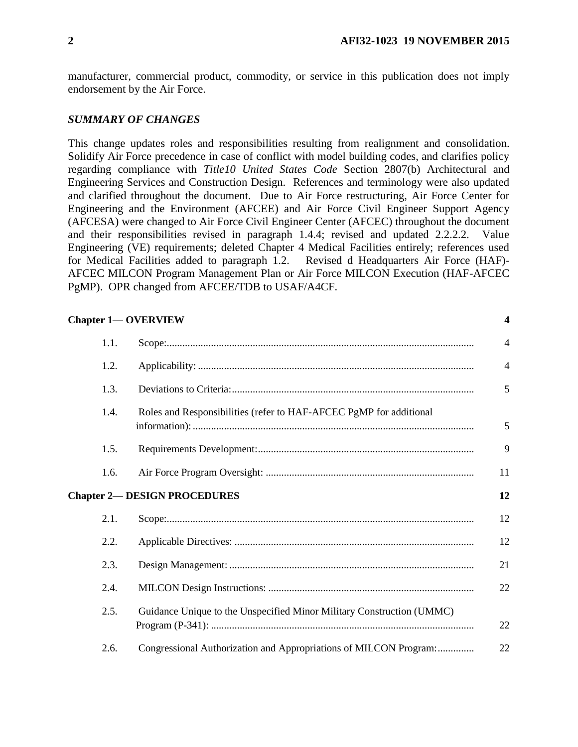manufacturer, commercial product, commodity, or service in this publication does not imply endorsement by the Air Force.

### *SUMMARY OF CHANGES*

This change updates roles and responsibilities resulting from realignment and consolidation. Solidify Air Force precedence in case of conflict with model building codes, and clarifies policy regarding compliance with *Title10 United States Code* Section 2807(b) Architectural and Engineering Services and Construction Design. References and terminology were also updated and clarified throughout the document. Due to Air Force restructuring, Air Force Center for Engineering and the Environment (AFCEE) and Air Force Civil Engineer Support Agency (AFCESA) were changed to Air Force Civil Engineer Center (AFCEC) throughout the document and their responsibilities revised in paragraph 1.4.4; revised and updated 2.2.2.2. Value Engineering (VE) requirements; deleted Chapter 4 Medical Facilities entirely; references used for Medical Facilities added to paragraph 1.2. Revised d Headquarters Air Force (HAF)- AFCEC MILCON Program Management Plan or Air Force MILCON Execution (HAF-AFCEC PgMP). OPR changed from AFCEE/TDB to USAF/A4CF.

| <b>Chapter 1-OVERVIEW</b> |  |
|---------------------------|--|
|                           |  |

| 1.1. |                                                                       | $\overline{4}$ |
|------|-----------------------------------------------------------------------|----------------|
| 1.2. |                                                                       | $\overline{4}$ |
| 1.3. |                                                                       | 5              |
| 1.4. | Roles and Responsibilities (refer to HAF-AFCEC PgMP for additional    | 5              |
| 1.5. |                                                                       | 9              |
| 1.6. |                                                                       | 11             |
|      | <b>Chapter 2— DESIGN PROCEDURES</b>                                   | 12             |
| 2.1. |                                                                       | 12             |
| 2.2. |                                                                       | 12             |
| 2.3. |                                                                       | 21             |
| 2.4. |                                                                       | 22             |
| 2.5. | Guidance Unique to the Unspecified Minor Military Construction (UMMC) | 22             |
| 2.6. | Congressional Authorization and Appropriations of MILCON Program:     | 22             |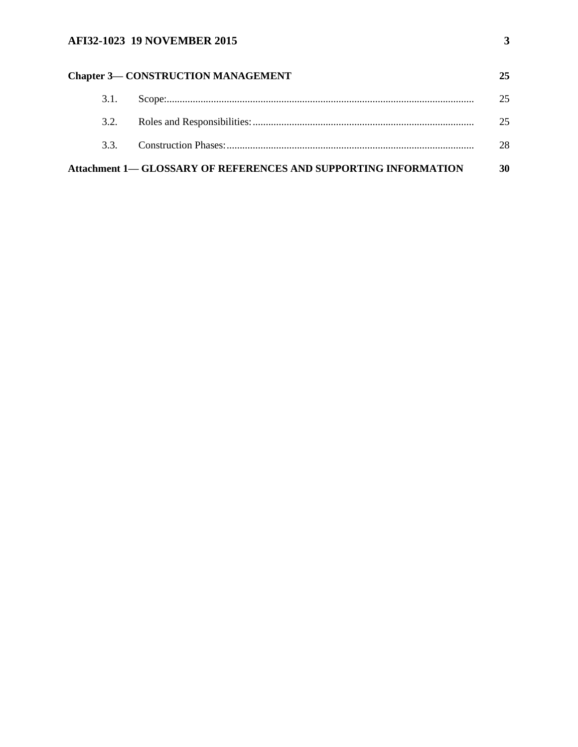# **AFI32-1023 19 NOVEMBER 2015 3**

|      | <b>Chapter 3- CONSTRUCTION MANAGEMENT</b>                              | 25 |
|------|------------------------------------------------------------------------|----|
| 3.1. |                                                                        | 25 |
| 3.2. |                                                                        | 25 |
| 33   |                                                                        | 28 |
|      | <b>Attachment 1— GLOSSARY OF REFERENCES AND SUPPORTING INFORMATION</b> | 30 |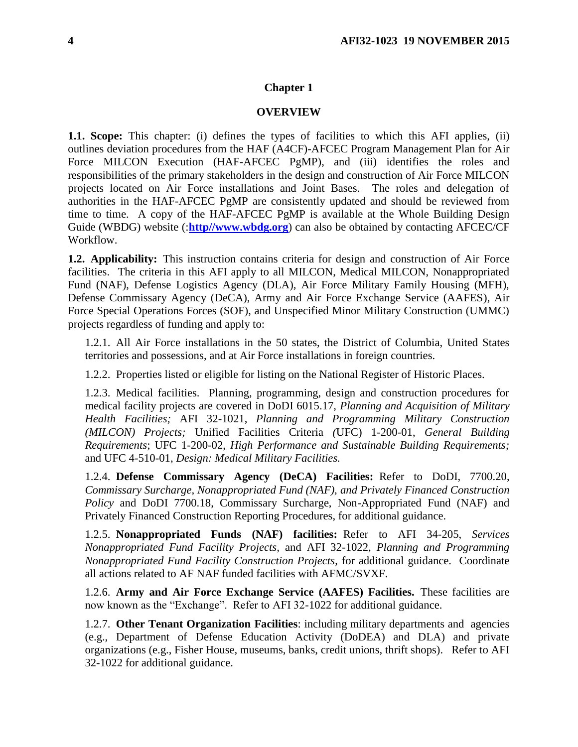#### **Chapter 1**

#### **OVERVIEW**

<span id="page-3-1"></span><span id="page-3-0"></span>**1.1. Scope:** This chapter: (i) defines the types of facilities to which this AFI applies, (ii) outlines deviation procedures from the HAF (A4CF)-AFCEC Program Management Plan for Air Force MILCON Execution (HAF-AFCEC PgMP), and (iii) identifies the roles and responsibilities of the primary stakeholders in the design and construction of Air Force MILCON projects located on Air Force installations and Joint Bases. The roles and delegation of authorities in the HAF-AFCEC PgMP are consistently updated and should be reviewed from time to time. A copy of the HAF-AFCEC PgMP is available at the Whole Building Design Guide (WBDG) website (:**[http//www.wbdg.org](http://http/www.wbdg.org)**) can also be obtained by contacting AFCEC/CF Workflow.

<span id="page-3-2"></span>**1.2. Applicability:** This instruction contains criteria for design and construction of Air Force facilities. The criteria in this AFI apply to all MILCON, Medical MILCON, Nonappropriated Fund (NAF), Defense Logistics Agency (DLA), Air Force Military Family Housing (MFH), Defense Commissary Agency (DeCA), Army and Air Force Exchange Service (AAFES), Air Force Special Operations Forces (SOF), and Unspecified Minor Military Construction (UMMC) projects regardless of funding and apply to:

1.2.1. All Air Force installations in the 50 states, the District of Columbia, United States territories and possessions, and at Air Force installations in foreign countries.

1.2.2. Properties listed or eligible for listing on the National Register of Historic Places.

1.2.3. Medical facilities. Planning, programming, design and construction procedures for medical facility projects are covered in DoDI 6015.17, *Planning and Acquisition of Military Health Facilities;* AFI 32-1021, *Planning and Programming Military Construction (MILCON) Projects;* Unified Facilities Criteria *(*UFC) 1-200-01, *General Building Requirements*; UFC 1-200-02, *High Performance and Sustainable Building Requirements;*  and UFC 4-510-01, *Design: Medical Military Facilities.*

1.2.4. **Defense Commissary Agency (DeCA) Facilities:** Refer to DoDI, 7700.20, *Commissary Surcharge, Nonappropriated Fund (NAF), and Privately Financed Construction Policy* and DoDI 7700.18, Commissary Surcharge, Non-Appropriated Fund (NAF) and Privately Financed Construction Reporting Procedures, for additional guidance.

1.2.5. **Nonappropriated Funds (NAF) facilities:** Refer to AFI 34-205, *Services Nonappropriated Fund Facility Projects,* and AFI 32-1022, *Planning and Programming Nonappropriated Fund Facility Construction Projects*, for additional guidance. Coordinate all actions related to AF NAF funded facilities with AFMC/SVXF.

1.2.6. **Army and Air Force Exchange Service (AAFES) Facilities.** These facilities are now known as the "Exchange". Refer to AFI 32-1022 for additional guidance.

1.2.7. **Other Tenant Organization Facilities**: including military departments and agencies (e.g., Department of Defense Education Activity (DoDEA) and DLA) and private organizations (e.g., Fisher House, museums, banks, credit unions, thrift shops). Refer to AFI 32-1022 for additional guidance.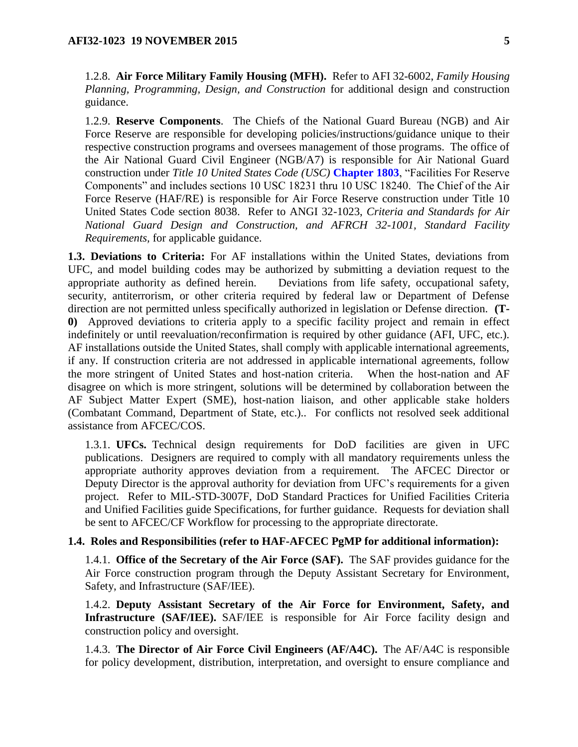1.2.8. **Air Force Military Family Housing (MFH).** Refer to AFI 32-6002, *Family Housing Planning, Programming, Design, and Construction* for additional design and construction guidance.

1.2.9. **Reserve Components**. The Chiefs of the National Guard Bureau (NGB) and Air Force Reserve are responsible for developing policies/instructions/guidance unique to their respective construction programs and oversees management of those programs. The office of the Air National Guard Civil Engineer (NGB/A7) is responsible for Air National Guard construction under *Title 10 United States Code (USC)* **Chapter 1803**, "Facilities For Reserve Components" and includes sections 10 USC 18231 thru 10 USC 18240. The Chief of the Air Force Reserve (HAF/RE) is responsible for Air Force Reserve construction under Title 10 United States Code section 8038. Refer to ANGI 32-1023, *Criteria and Standards for Air National Guard Design and Construction, and AFRCH 32-1001, Standard Facility Requirements,* for applicable guidance.

<span id="page-4-0"></span>**1.3. Deviations to Criteria:** For AF installations within the United States, deviations from UFC, and model building codes may be authorized by submitting a deviation request to the appropriate authority as defined herein. Deviations from life safety, occupational safety, security, antiterrorism, or other criteria required by federal law or Department of Defense direction are not permitted unless specifically authorized in legislation or Defense direction. **(T-0)** Approved deviations to criteria apply to a specific facility project and remain in effect indefinitely or until reevaluation/reconfirmation is required by other guidance (AFI, UFC, etc.). AF installations outside the United States, shall comply with applicable international agreements, if any. If construction criteria are not addressed in applicable international agreements, follow the more stringent of United States and host-nation criteria. When the host-nation and AF disagree on which is more stringent, solutions will be determined by collaboration between the AF Subject Matter Expert (SME), host-nation liaison, and other applicable stake holders (Combatant Command, Department of State, etc.).. For conflicts not resolved seek additional assistance from AFCEC/COS.

1.3.1. **UFCs.** Technical design requirements for DoD facilities are given in UFC publications. Designers are required to comply with all mandatory requirements unless the appropriate authority approves deviation from a requirement. The AFCEC Director or Deputy Director is the approval authority for deviation from UFC's requirements for a given project. Refer to MIL-STD-3007F, DoD Standard Practices for Unified Facilities Criteria and Unified Facilities guide Specifications, for further guidance. Requests for deviation shall be sent to AFCEC/CF Workflow for processing to the appropriate directorate.

### <span id="page-4-1"></span>**1.4. Roles and Responsibilities (refer to HAF-AFCEC PgMP for additional information):**

1.4.1. **Office of the Secretary of the Air Force (SAF).** The SAF provides guidance for the Air Force construction program through the Deputy Assistant Secretary for Environment, Safety, and Infrastructure (SAF/IEE).

1.4.2. **Deputy Assistant Secretary of the Air Force for Environment, Safety, and Infrastructure (SAF/IEE).** SAF/IEE is responsible for Air Force facility design and construction policy and oversight.

1.4.3. **The Director of Air Force Civil Engineers (AF/A4C).** The AF/A4C is responsible for policy development, distribution, interpretation, and oversight to ensure compliance and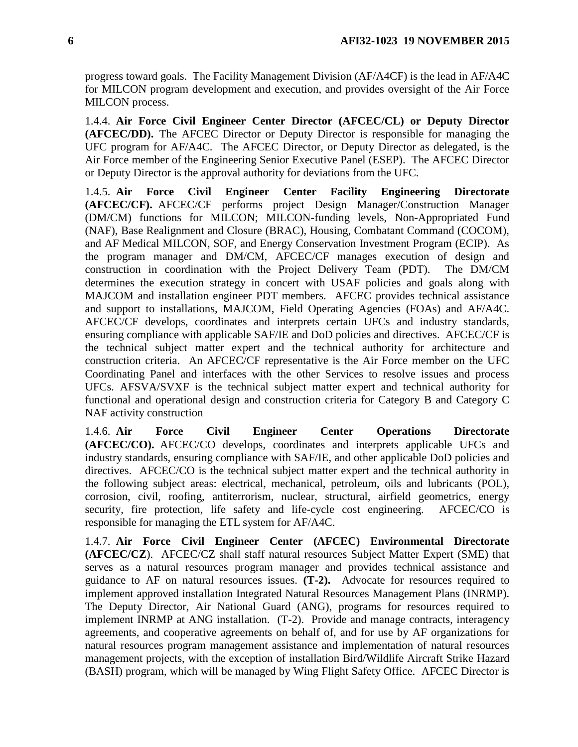progress toward goals. The Facility Management Division (AF/A4CF) is the lead in AF/A4C for MILCON program development and execution, and provides oversight of the Air Force MILCON process.

1.4.4. **Air Force Civil Engineer Center Director (AFCEC/CL) or Deputy Director (AFCEC/DD).** The AFCEC Director or Deputy Director is responsible for managing the UFC program for AF/A4C. The AFCEC Director, or Deputy Director as delegated, is the Air Force member of the Engineering Senior Executive Panel (ESEP). The AFCEC Director or Deputy Director is the approval authority for deviations from the UFC.

1.4.5. **Air Force Civil Engineer Center Facility Engineering Directorate (AFCEC/CF).** AFCEC/CF performs project Design Manager/Construction Manager (DM/CM) functions for MILCON; MILCON-funding levels, Non-Appropriated Fund (NAF), Base Realignment and Closure (BRAC), Housing, Combatant Command (COCOM), and AF Medical MILCON, SOF, and Energy Conservation Investment Program (ECIP). As the program manager and DM/CM, AFCEC/CF manages execution of design and construction in coordination with the Project Delivery Team (PDT). The DM/CM determines the execution strategy in concert with USAF policies and goals along with MAJCOM and installation engineer PDT members. AFCEC provides technical assistance and support to installations, MAJCOM, Field Operating Agencies (FOAs) and AF/A4C. AFCEC/CF develops, coordinates and interprets certain UFCs and industry standards, ensuring compliance with applicable SAF/IE and DoD policies and directives. AFCEC/CF is the technical subject matter expert and the technical authority for architecture and construction criteria. An AFCEC/CF representative is the Air Force member on the UFC Coordinating Panel and interfaces with the other Services to resolve issues and process UFCs. AFSVA/SVXF is the technical subject matter expert and technical authority for functional and operational design and construction criteria for Category B and Category C NAF activity construction

1.4.6. **Air Force Civil Engineer Center Operations Directorate (AFCEC/CO).** AFCEC/CO develops, coordinates and interprets applicable UFCs and industry standards, ensuring compliance with SAF/IE, and other applicable DoD policies and directives. AFCEC/CO is the technical subject matter expert and the technical authority in the following subject areas: electrical, mechanical, petroleum, oils and lubricants (POL), corrosion, civil, roofing, antiterrorism, nuclear, structural, airfield geometrics, energy security, fire protection, life safety and life-cycle cost engineering. AFCEC/CO is responsible for managing the ETL system for AF/A4C.

1.4.7. **Air Force Civil Engineer Center (AFCEC) Environmental Directorate (AFCEC/CZ**). AFCEC/CZ shall staff natural resources Subject Matter Expert (SME) that serves as a natural resources program manager and provides technical assistance and guidance to AF on natural resources issues. **(T-2).** Advocate for resources required to implement approved installation Integrated Natural Resources Management Plans (INRMP). The Deputy Director, Air National Guard (ANG), programs for resources required to implement INRMP at ANG installation. (T-2). Provide and manage contracts, interagency agreements, and cooperative agreements on behalf of, and for use by AF organizations for natural resources program management assistance and implementation of natural resources management projects, with the exception of installation Bird/Wildlife Aircraft Strike Hazard (BASH) program, which will be managed by Wing Flight Safety Office. AFCEC Director is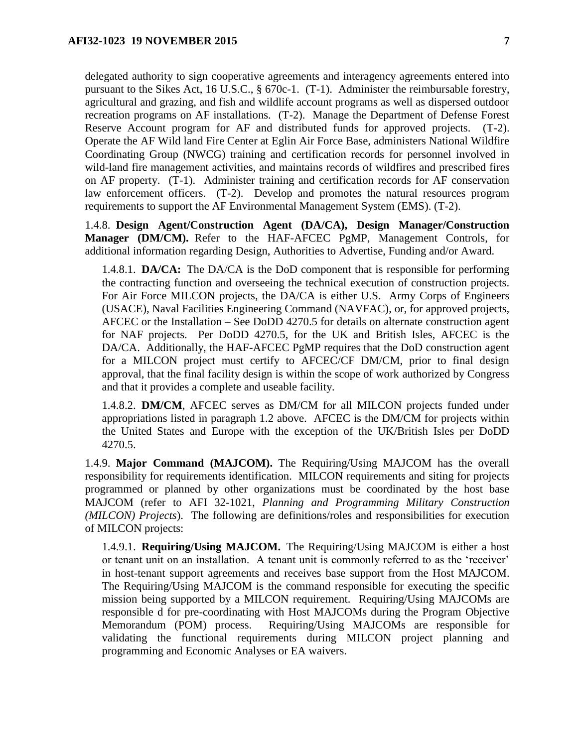delegated authority to sign cooperative agreements and interagency agreements entered into pursuant to the Sikes Act, 16 U.S.C., § 670c-1. (T-1). Administer the reimbursable forestry, agricultural and grazing, and fish and wildlife account programs as well as dispersed outdoor recreation programs on AF installations. (T-2). Manage the Department of Defense Forest Reserve Account program for AF and distributed funds for approved projects. (T-2). Operate the AF Wild land Fire Center at Eglin Air Force Base, administers National Wildfire Coordinating Group (NWCG) training and certification records for personnel involved in wild-land fire management activities, and maintains records of wildfires and prescribed fires on AF property. (T-1). Administer training and certification records for AF conservation law enforcement officers. (T-2). Develop and promotes the natural resources program requirements to support the AF Environmental Management System (EMS). (T-2).

1.4.8. **Design Agent/Construction Agent (DA/CA), Design Manager/Construction Manager (DM/CM).** Refer to the HAF-AFCEC PgMP, Management Controls, for additional information regarding Design, Authorities to Advertise, Funding and/or Award.

1.4.8.1. **DA/CA:** The DA/CA is the DoD component that is responsible for performing the contracting function and overseeing the technical execution of construction projects. For Air Force MILCON projects, the DA/CA is either U.S. Army Corps of Engineers (USACE), Naval Facilities Engineering Command (NAVFAC), or, for approved projects, AFCEC or the Installation – See DoDD 4270.5 for details on alternate construction agent for NAF projects. Per DoDD 4270.5, for the UK and British Isles, AFCEC is the DA/CA. Additionally, the HAF-AFCEC PgMP requires that the DoD construction agent for a MILCON project must certify to AFCEC/CF DM/CM, prior to final design approval, that the final facility design is within the scope of work authorized by Congress and that it provides a complete and useable facility.

1.4.8.2. **DM/CM**, AFCEC serves as DM/CM for all MILCON projects funded under appropriations listed in paragraph 1.2 above. AFCEC is the DM/CM for projects within the United States and Europe with the exception of the UK/British Isles per DoDD 4270.5.

1.4.9. **Major Command (MAJCOM).** The Requiring/Using MAJCOM has the overall responsibility for requirements identification. MILCON requirements and siting for projects programmed or planned by other organizations must be coordinated by the host base MAJCOM (refer to AFI 32-1021, *Planning and Programming Military Construction (MILCON) Projects*). The following are definitions/roles and responsibilities for execution of MILCON projects:

1.4.9.1. **Requiring/Using MAJCOM.** The Requiring/Using MAJCOM is either a host or tenant unit on an installation. A tenant unit is commonly referred to as the 'receiver' in host-tenant support agreements and receives base support from the Host MAJCOM. The Requiring/Using MAJCOM is the command responsible for executing the specific mission being supported by a MILCON requirement. Requiring/Using MAJCOMs are responsible d for pre-coordinating with Host MAJCOMs during the Program Objective Memorandum (POM) process. Requiring/Using MAJCOMs are responsible for validating the functional requirements during MILCON project planning and programming and Economic Analyses or EA waivers.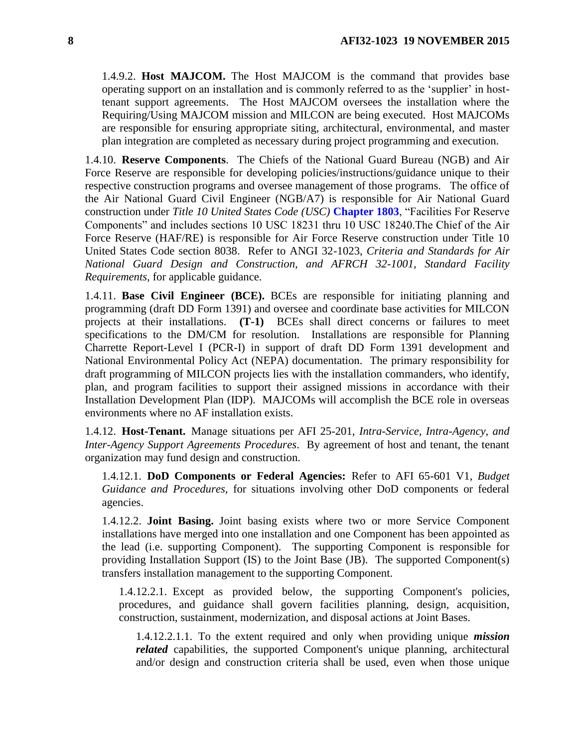1.4.9.2. **Host MAJCOM.** The Host MAJCOM is the command that provides base operating support on an installation and is commonly referred to as the 'supplier' in hosttenant support agreements. The Host MAJCOM oversees the installation where the Requiring/Using MAJCOM mission and MILCON are being executed. Host MAJCOMs are responsible for ensuring appropriate siting, architectural, environmental, and master plan integration are completed as necessary during project programming and execution.

1.4.10. **Reserve Components**. The Chiefs of the National Guard Bureau (NGB) and Air Force Reserve are responsible for developing policies/instructions/guidance unique to their respective construction programs and oversee management of those programs. The office of the Air National Guard Civil Engineer (NGB/A7) is responsible for Air National Guard construction under *Title 10 United States Code (USC)* **Chapter 1803**, "Facilities For Reserve Components" and includes sections 10 USC 18231 thru 10 USC 18240.The Chief of the Air Force Reserve (HAF/RE) is responsible for Air Force Reserve construction under Title 10 United States Code section 8038. Refer to ANGI 32-1023, *Criteria and Standards for Air National Guard Design and Construction, and AFRCH 32-1001, Standard Facility Requirements,* for applicable guidance.

1.4.11. **Base Civil Engineer (BCE).** BCEs are responsible for initiating planning and programming (draft DD Form 1391) and oversee and coordinate base activities for MILCON projects at their installations. **(T-1)** BCEs shall direct concerns or failures to meet specifications to the DM/CM for resolution. Installations are responsible for Planning Charrette Report-Level I (PCR-I) in support of draft DD Form 1391 development and National Environmental Policy Act (NEPA) documentation. The primary responsibility for draft programming of MILCON projects lies with the installation commanders, who identify, plan, and program facilities to support their assigned missions in accordance with their Installation Development Plan (IDP). MAJCOMs will accomplish the BCE role in overseas environments where no AF installation exists.

1.4.12. **Host-Tenant.** Manage situations per AFI 25-201, *Intra-Service, Intra-Agency, and Inter-Agency Support Agreements Procedures*. By agreement of host and tenant, the tenant organization may fund design and construction.

1.4.12.1. **DoD Components or Federal Agencies:** Refer to AFI 65-601 V1, *Budget Guidance and Procedures,* for situations involving other DoD components or federal agencies.

1.4.12.2. **Joint Basing.** Joint basing exists where two or more Service Component installations have merged into one installation and one Component has been appointed as the lead (i.e. supporting Component). The supporting Component is responsible for providing Installation Support (IS) to the Joint Base (JB). The supported Component(s) transfers installation management to the supporting Component.

1.4.12.2.1. Except as provided below, the supporting Component's policies, procedures, and guidance shall govern facilities planning, design, acquisition, construction, sustainment, modernization, and disposal actions at Joint Bases.

1.4.12.2.1.1. To the extent required and only when providing unique *mission related* capabilities, the supported Component's unique planning, architectural and/or design and construction criteria shall be used, even when those unique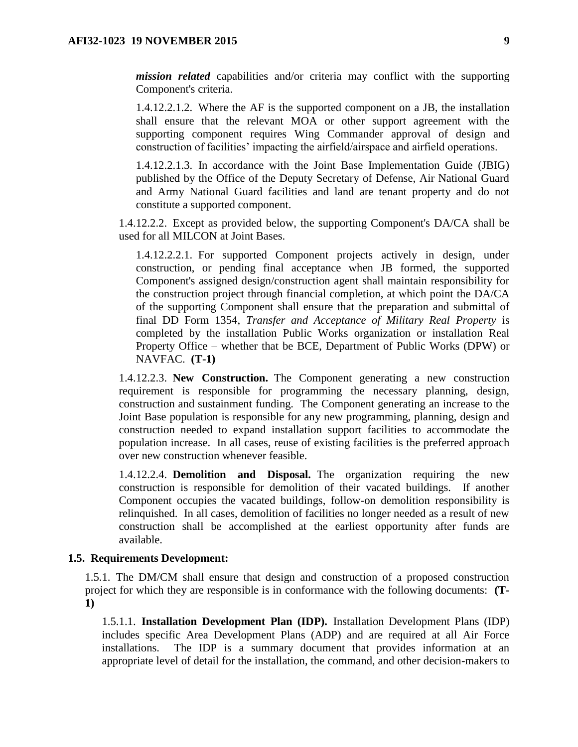*mission related* capabilities and/or criteria may conflict with the supporting Component's criteria.

1.4.12.2.1.2. Where the AF is the supported component on a JB, the installation shall ensure that the relevant MOA or other support agreement with the supporting component requires Wing Commander approval of design and construction of facilities' impacting the airfield/airspace and airfield operations.

1.4.12.2.1.3. In accordance with the Joint Base Implementation Guide (JBIG) published by the Office of the Deputy Secretary of Defense, Air National Guard and Army National Guard facilities and land are tenant property and do not constitute a supported component.

1.4.12.2.2. Except as provided below, the supporting Component's DA/CA shall be used for all MILCON at Joint Bases.

1.4.12.2.2.1. For supported Component projects actively in design, under construction, or pending final acceptance when JB formed, the supported Component's assigned design/construction agent shall maintain responsibility for the construction project through financial completion, at which point the DA/CA of the supporting Component shall ensure that the preparation and submittal of final DD Form 1354, *Transfer and Acceptance of Military Real Property* is completed by the installation Public Works organization or installation Real Property Office – whether that be BCE, Department of Public Works (DPW) or NAVFAC. **(T-1)**

1.4.12.2.3. **New Construction.** The Component generating a new construction requirement is responsible for programming the necessary planning, design, construction and sustainment funding. The Component generating an increase to the Joint Base population is responsible for any new programming, planning, design and construction needed to expand installation support facilities to accommodate the population increase. In all cases, reuse of existing facilities is the preferred approach over new construction whenever feasible.

1.4.12.2.4. **Demolition and Disposal.** The organization requiring the new construction is responsible for demolition of their vacated buildings. If another Component occupies the vacated buildings, follow-on demolition responsibility is relinquished. In all cases, demolition of facilities no longer needed as a result of new construction shall be accomplished at the earliest opportunity after funds are available.

#### <span id="page-8-0"></span>**1.5. Requirements Development:**

1.5.1. The DM/CM shall ensure that design and construction of a proposed construction project for which they are responsible is in conformance with the following documents: **(T-1)**

1.5.1.1. **Installation Development Plan (IDP).** Installation Development Plans (IDP) includes specific Area Development Plans (ADP) and are required at all Air Force installations. The IDP is a summary document that provides information at an appropriate level of detail for the installation, the command, and other decision-makers to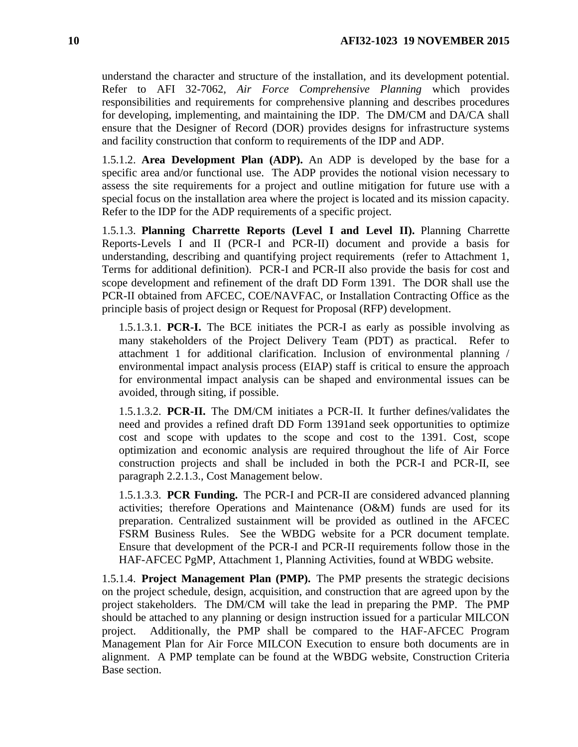understand the character and structure of the installation, and its development potential. Refer to AFI 32-7062, *Air Force Comprehensive Planning* which provides responsibilities and requirements for comprehensive planning and describes procedures for developing, implementing, and maintaining the IDP. The DM/CM and DA/CA shall ensure that the Designer of Record (DOR) provides designs for infrastructure systems and facility construction that conform to requirements of the IDP and ADP.

1.5.1.2. **Area Development Plan (ADP).** An ADP is developed by the base for a specific area and/or functional use. The ADP provides the notional vision necessary to assess the site requirements for a project and outline mitigation for future use with a special focus on the installation area where the project is located and its mission capacity. Refer to the IDP for the ADP requirements of a specific project.

1.5.1.3. **Planning Charrette Reports (Level I and Level II).** Planning Charrette Reports-Levels I and II (PCR-I and PCR-II) document and provide a basis for understanding, describing and quantifying project requirements (refer to Attachment 1, Terms for additional definition). PCR-I and PCR-II also provide the basis for cost and scope development and refinement of the draft DD Form 1391. The DOR shall use the PCR-II obtained from AFCEC, COE/NAVFAC, or Installation Contracting Office as the principle basis of project design or Request for Proposal (RFP) development.

1.5.1.3.1. **PCR-I.** The BCE initiates the PCR-I as early as possible involving as many stakeholders of the Project Delivery Team (PDT) as practical. Refer to attachment 1 for additional clarification. Inclusion of environmental planning / environmental impact analysis process (EIAP) staff is critical to ensure the approach for environmental impact analysis can be shaped and environmental issues can be avoided, through siting, if possible.

1.5.1.3.2. **PCR-II.** The DM/CM initiates a PCR-II. It further defines/validates the need and provides a refined draft DD Form 1391and seek opportunities to optimize cost and scope with updates to the scope and cost to the 1391. Cost, scope optimization and economic analysis are required throughout the life of Air Force construction projects and shall be included in both the PCR-I and PCR-II, see paragraph 2.2.1.3., Cost Management below.

1.5.1.3.3. **PCR Funding.** The PCR-I and PCR-II are considered advanced planning activities; therefore Operations and Maintenance (O&M) funds are used for its preparation. Centralized sustainment will be provided as outlined in the AFCEC FSRM Business Rules. See the WBDG website for a PCR document template. Ensure that development of the PCR-I and PCR-II requirements follow those in the HAF-AFCEC PgMP, Attachment 1, Planning Activities, found at WBDG website.

1.5.1.4. **Project Management Plan (PMP).** The PMP presents the strategic decisions on the project schedule, design, acquisition, and construction that are agreed upon by the project stakeholders. The DM/CM will take the lead in preparing the PMP. The PMP should be attached to any planning or design instruction issued for a particular MILCON project. Additionally, the PMP shall be compared to the HAF-AFCEC Program Management Plan for Air Force MILCON Execution to ensure both documents are in alignment. A PMP template can be found at the WBDG website, Construction Criteria Base section.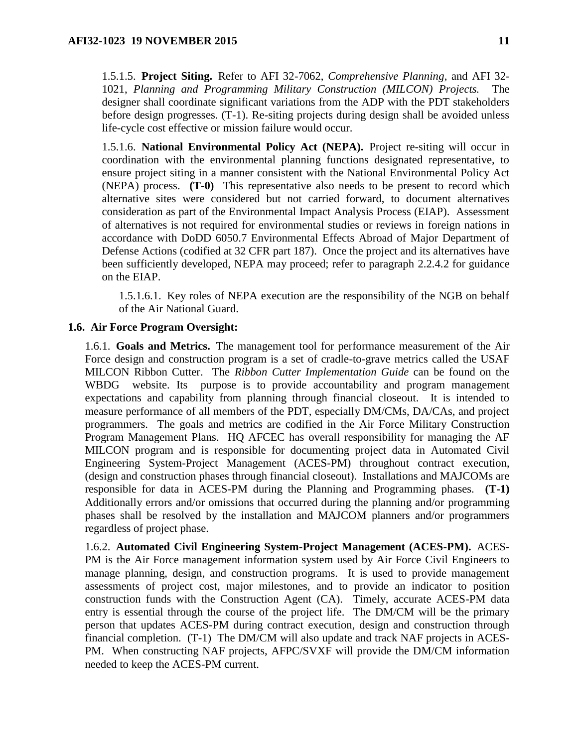1.5.1.5. **Project Siting.** Refer to AFI 32-7062, *Comprehensive Planning*, and AFI 32- 1021, *Planning and Programming Military Construction (MILCON) Projects.* The designer shall coordinate significant variations from the ADP with the PDT stakeholders before design progresses. (T-1). Re-siting projects during design shall be avoided unless life-cycle cost effective or mission failure would occur.

1.5.1.6. **National Environmental Policy Act (NEPA).** Project re-siting will occur in coordination with the environmental planning functions designated representative, to ensure project siting in a manner consistent with the National Environmental Policy Act (NEPA) process. **(T-0)** This representative also needs to be present to record which alternative sites were considered but not carried forward, to document alternatives consideration as part of the Environmental Impact Analysis Process (EIAP). Assessment of alternatives is not required for environmental studies or reviews in foreign nations in accordance with DoDD 6050.7 Environmental Effects Abroad of Major Department of Defense Actions (codified at 32 CFR part 187). Once the project and its alternatives have been sufficiently developed, NEPA may proceed; refer to paragraph 2.2.4.2 for guidance on the EIAP.

1.5.1.6.1. Key roles of NEPA execution are the responsibility of the NGB on behalf of the Air National Guard.

### <span id="page-10-0"></span>**1.6. Air Force Program Oversight:**

1.6.1. **Goals and Metrics.** The management tool for performance measurement of the Air Force design and construction program is a set of cradle-to-grave metrics called the USAF MILCON Ribbon Cutter. The *Ribbon Cutter Implementation Guide* can be found on the WBDG website. Its purpose is to provide accountability and program management expectations and capability from planning through financial closeout. It is intended to measure performance of all members of the PDT, especially DM/CMs, DA/CAs, and project programmers. The goals and metrics are codified in the Air Force Military Construction Program Management Plans. HQ AFCEC has overall responsibility for managing the AF MILCON program and is responsible for documenting project data in Automated Civil Engineering System-Project Management (ACES-PM) throughout contract execution, (design and construction phases through financial closeout). Installations and MAJCOMs are responsible for data in ACES-PM during the Planning and Programming phases. **(T-1)** Additionally errors and/or omissions that occurred during the planning and/or programming phases shall be resolved by the installation and MAJCOM planners and/or programmers regardless of project phase.

1.6.2. **Automated Civil Engineering System-Project Management (ACES-PM).** ACES-PM is the Air Force management information system used by Air Force Civil Engineers to manage planning, design, and construction programs. It is used to provide management assessments of project cost, major milestones, and to provide an indicator to position construction funds with the Construction Agent (CA). Timely, accurate ACES-PM data entry is essential through the course of the project life. The DM/CM will be the primary person that updates ACES-PM during contract execution, design and construction through financial completion. (T-1) The DM/CM will also update and track NAF projects in ACES-PM. When constructing NAF projects, AFPC/SVXF will provide the DM/CM information needed to keep the ACES-PM current.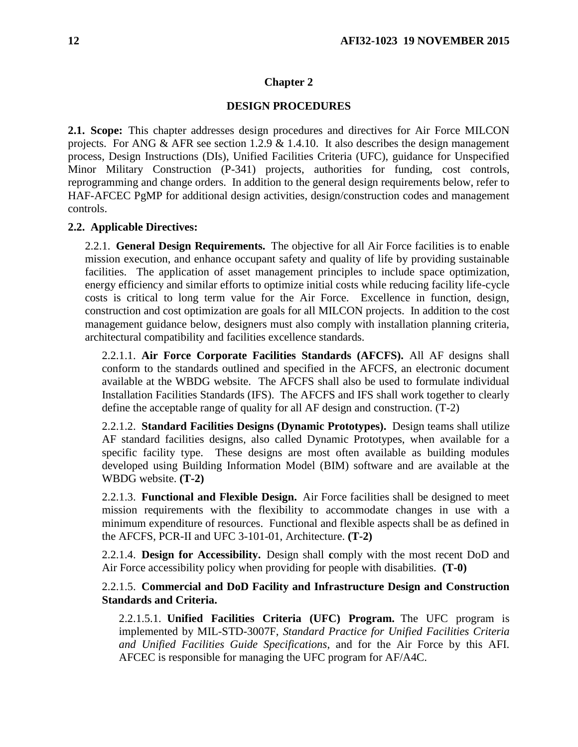#### **Chapter 2**

#### **DESIGN PROCEDURES**

<span id="page-11-1"></span><span id="page-11-0"></span>**2.1. Scope:** This chapter addresses design procedures and directives for Air Force MILCON projects. For ANG & AFR see section 1.2.9 & 1.4.10. It also describes the design management process, Design Instructions (DIs), Unified Facilities Criteria (UFC), guidance for Unspecified Minor Military Construction (P-341) projects, authorities for funding, cost controls, reprogramming and change orders. In addition to the general design requirements below, refer to HAF-AFCEC PgMP for additional design activities, design/construction codes and management controls.

#### <span id="page-11-2"></span>**2.2. Applicable Directives:**

2.2.1. **General Design Requirements.** The objective for all Air Force facilities is to enable mission execution, and enhance occupant safety and quality of life by providing sustainable facilities. The application of asset management principles to include space optimization, energy efficiency and similar efforts to optimize initial costs while reducing facility life-cycle costs is critical to long term value for the Air Force. Excellence in function, design, construction and cost optimization are goals for all MILCON projects. In addition to the cost management guidance below, designers must also comply with installation planning criteria, architectural compatibility and facilities excellence standards.

2.2.1.1. **Air Force Corporate Facilities Standards (AFCFS).** All AF designs shall conform to the standards outlined and specified in the AFCFS, an electronic document available at the WBDG website. The AFCFS shall also be used to formulate individual Installation Facilities Standards (IFS). The AFCFS and IFS shall work together to clearly define the acceptable range of quality for all AF design and construction. (T-2)

2.2.1.2. **Standard Facilities Designs (Dynamic Prototypes).** Design teams shall utilize AF standard facilities designs, also called Dynamic Prototypes, when available for a specific facility type. These designs are most often available as building modules developed using Building Information Model (BIM) software and are available at the WBDG website. **(T-2)**

2.2.1.3. **Functional and Flexible Design.** Air Force facilities shall be designed to meet mission requirements with the flexibility to accommodate changes in use with a minimum expenditure of resources. Functional and flexible aspects shall be as defined in the AFCFS, PCR-II and UFC 3-101-01, Architecture. **(T-2)**

2.2.1.4. **Design for Accessibility.** Design shall **c**omply with the most recent DoD and Air Force accessibility policy when providing for people with disabilities. **(T-0)**

### 2.2.1.5. **Commercial and DoD Facility and Infrastructure Design and Construction Standards and Criteria.**

2.2.1.5.1. **Unified Facilities Criteria (UFC) Program.** The UFC program is implemented by MIL-STD-3007F, *Standard Practice for Unified Facilities Criteria and Unified Facilities Guide Specifications*, and for the Air Force by this AFI. AFCEC is responsible for managing the UFC program for AF/A4C.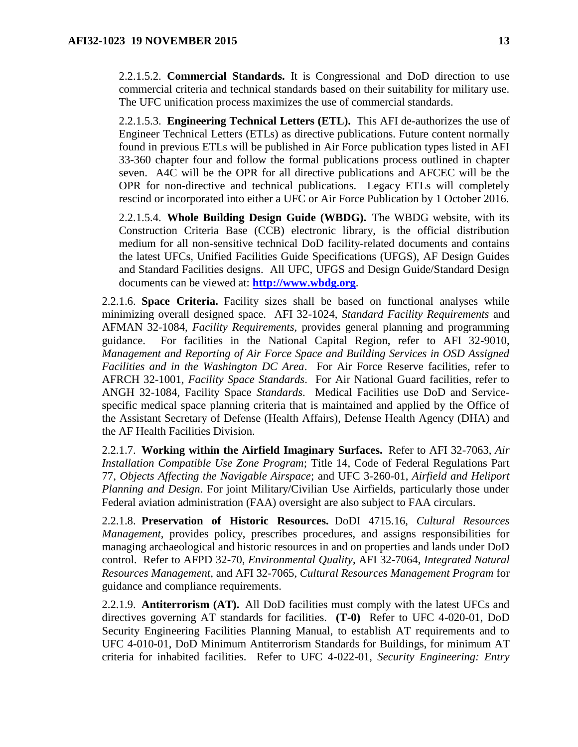2.2.1.5.2. **Commercial Standards.** It is Congressional and DoD direction to use commercial criteria and technical standards based on their suitability for military use. The UFC unification process maximizes the use of commercial standards.

2.2.1.5.3. **Engineering Technical Letters (ETL).** This AFI de-authorizes the use of Engineer Technical Letters (ETLs) as directive publications. Future content normally found in previous ETLs will be published in Air Force publication types listed in AFI 33-360 chapter four and follow the formal publications process outlined in chapter seven. A4C will be the OPR for all directive publications and AFCEC will be the OPR for non-directive and technical publications. Legacy ETLs will completely rescind or incorporated into either a UFC or Air Force Publication by 1 October 2016.

2.2.1.5.4. **Whole Building Design Guide (WBDG).** The WBDG website, with its Construction Criteria Base (CCB) electronic library, is the official distribution medium for all non-sensitive technical DoD facility-related documents and contains the latest UFCs, Unified Facilities Guide Specifications (UFGS), AF Design Guides and Standard Facilities designs. All UFC, UFGS and Design Guide/Standard Design documents can be viewed at: **[http://www.wbdg.org](http://www.wbdg.org/)**.

2.2.1.6. **Space Criteria.** Facility sizes shall be based on functional analyses while minimizing overall designed space. AFI 32-1024, *Standard Facility Requirements* and AFMAN 32-1084, *Facility Requirements,* provides general planning and programming guidance. For facilities in the National Capital Region, refer to AFI 32-9010, *Management and Reporting of Air Force Space and Building Services in OSD Assigned Facilities and in the Washington DC Area*. For Air Force Reserve facilities, refer to AFRCH 32-1001, *Facility Space Standards*. For Air National Guard facilities, refer to ANGH 32-1084, Facility Space *Standards*. Medical Facilities use DoD and Servicespecific medical space planning criteria that is maintained and applied by the Office of the Assistant Secretary of Defense (Health Affairs), Defense Health Agency (DHA) and the AF Health Facilities Division.

2.2.1.7. **Working within the Airfield Imaginary Surfaces.** Refer to AFI 32-7063, *Air Installation Compatible Use Zone Program*; Title 14, Code of Federal Regulations Part 77, *Objects Affecting the Navigable Airspace*; and UFC 3-260-01, *Airfield and Heliport Planning and Design*. For joint Military/Civilian Use Airfields, particularly those under Federal aviation administration (FAA) oversight are also subject to FAA circulars.

2.2.1.8. **Preservation of Historic Resources.** DoDI 4715.16, *Cultural Resources Management*, provides policy, prescribes procedures, and assigns responsibilities for managing archaeological and historic resources in and on properties and lands under DoD control. Refer to AFPD 32-70, *Environmental Quality*, AFI 32-7064, *Integrated Natural Resources Management*, and AFI 32-7065, *Cultural Resources Management Program* for guidance and compliance requirements.

2.2.1.9. **Antiterrorism (AT).** All DoD facilities must comply with the latest UFCs and directives governing AT standards for facilities. **(T-0)** Refer to UFC 4-020-01, DoD Security Engineering Facilities Planning Manual, to establish AT requirements and to UFC 4-010-01, DoD Minimum Antiterrorism Standards for Buildings, for minimum AT criteria for inhabited facilities. Refer to UFC 4-022-01, *Security Engineering: Entry*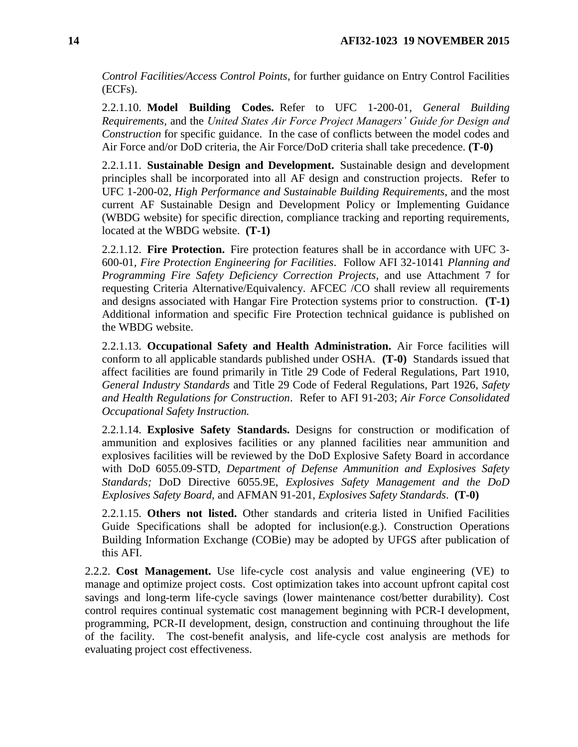*Control Facilities/Access Control Points*, for further guidance on Entry Control Facilities (ECFs).

2.2.1.10. **Model Building Codes.** Refer to UFC 1-200-01, *General Building Requirements,* and the *United States Air Force Project Managers' Guide for Design and Construction* for specific guidance. In the case of conflicts between the model codes and Air Force and/or DoD criteria, the Air Force/DoD criteria shall take precedence. **(T-0)**

2.2.1.11. **Sustainable Design and Development.** Sustainable design and development principles shall be incorporated into all AF design and construction projects. Refer to UFC 1-200-02, *High Performance and Sustainable Building Requirements,* and the most current AF Sustainable Design and Development Policy or Implementing Guidance (WBDG website) for specific direction, compliance tracking and reporting requirements, located at the WBDG website. **(T-1)**

2.2.1.12. **Fire Protection.** Fire protection features shall be in accordance with UFC 3- 600-01, *Fire Protection Engineering for Facilities*. Follow AFI 32-10141 *Planning and Programming Fire Safety Deficiency Correction Projects,* and use Attachment 7 for requesting Criteria Alternative/Equivalency. AFCEC /CO shall review all requirements and designs associated with Hangar Fire Protection systems prior to construction. **(T-1)** Additional information and specific Fire Protection technical guidance is published on the WBDG website.

2.2.1.13. **Occupational Safety and Health Administration.** Air Force facilities will conform to all applicable standards published under OSHA. **(T-0)** Standards issued that affect facilities are found primarily in Title 29 Code of Federal Regulations, Part 1910, *General Industry Standards* and Title 29 Code of Federal Regulations, Part 1926, *Safety and Health Regulations for Construction*. Refer to AFI 91-203; *Air Force Consolidated Occupational Safety Instruction.*

2.2.1.14. **Explosive Safety Standards.** Designs for construction or modification of ammunition and explosives facilities or any planned facilities near ammunition and explosives facilities will be reviewed by the DoD Explosive Safety Board in accordance with DoD 6055.09-STD, *Department of Defense Ammunition and Explosives Safety Standards;* DoD Directive 6055.9E, *Explosives Safety Management and the DoD Explosives Safety Board,* and AFMAN 91-201, *Explosives Safety Standards*. **(T-0)**

2.2.1.15. **Others not listed.** Other standards and criteria listed in Unified Facilities Guide Specifications shall be adopted for inclusion(e.g.). Construction Operations Building Information Exchange (COBie) may be adopted by UFGS after publication of this AFI.

2.2.2. **Cost Management.** Use life-cycle cost analysis and value engineering (VE) to manage and optimize project costs. Cost optimization takes into account upfront capital cost savings and long-term life-cycle savings (lower maintenance cost/better durability). Cost control requires continual systematic cost management beginning with PCR-I development, programming, PCR-II development, design, construction and continuing throughout the life of the facility. The cost-benefit analysis, and life-cycle cost analysis are methods for evaluating project cost effectiveness.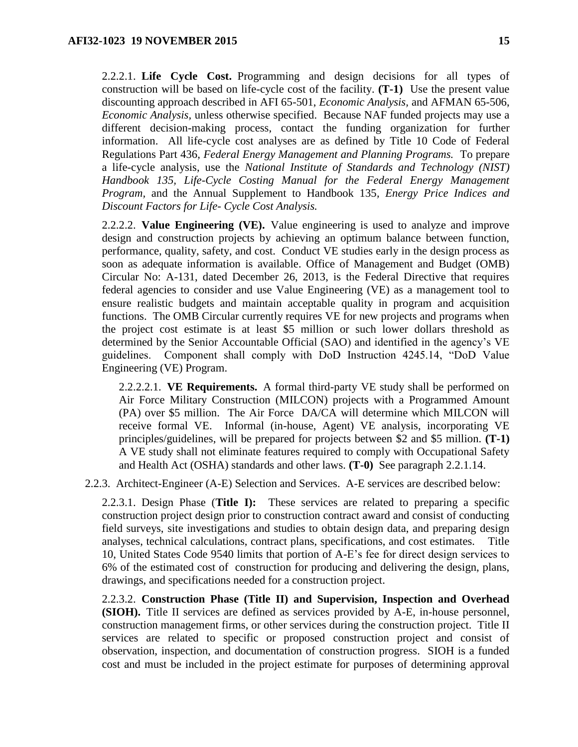2.2.2.1. **Life Cycle Cost.** Programming and design decisions for all types of construction will be based on life-cycle cost of the facility. **(T-1)** Use the present value discounting approach described in AFI 65-501, *Economic Analysis,* and AFMAN 65-506, *Economic Analysis,* unless otherwise specified. Because NAF funded projects may use a different decision-making process, contact the funding organization for further information. All life-cycle cost analyses are as defined by Title 10 Code of Federal Regulations Part 436, *Federal Energy Management and Planning Programs.* To prepare a life-cycle analysis, use the *National Institute of Standards and Technology (NIST) Handbook 135, Life-Cycle Costing Manual for the Federal Energy Management Program,* and the Annual Supplement to Handbook 135*, Energy Price Indices and Discount Factors for Life- Cycle Cost Analysis.*

2.2.2.2. **Value Engineering (VE).** Value engineering is used to analyze and improve design and construction projects by achieving an optimum balance between function, performance, quality, safety, and cost. Conduct VE studies early in the design process as soon as adequate information is available. Office of Management and Budget (OMB) Circular No: A-131, dated December 26, 2013, is the Federal Directive that requires federal agencies to consider and use Value Engineering (VE) as a management tool to ensure realistic budgets and maintain acceptable quality in program and acquisition functions. The OMB Circular currently requires VE for new projects and programs when the project cost estimate is at least \$5 million or such lower dollars threshold as determined by the Senior Accountable Official (SAO) and identified in the agency's VE guidelines. Component shall comply with DoD Instruction 4245.14, "DoD Value Engineering (VE) Program.

2.2.2.2.1. **VE Requirements.** A formal third-party VE study shall be performed on Air Force Military Construction (MILCON) projects with a Programmed Amount (PA) over \$5 million. The Air Force DA/CA will determine which MILCON will receive formal VE. Informal (in-house, Agent) VE analysis, incorporating VE principles/guidelines, will be prepared for projects between \$2 and \$5 million. **(T-1)** A VE study shall not eliminate features required to comply with Occupational Safety and Health Act (OSHA) standards and other laws. **(T-0)** See paragraph 2.2.1.14.

2.2.3. Architect-Engineer (A-E) Selection and Services. A-E services are described below:

2.2.3.1. Design Phase (**Title I):** These services are related to preparing a specific construction project design prior to construction contract award and consist of conducting field surveys, site investigations and studies to obtain design data, and preparing design analyses, technical calculations, contract plans, specifications, and cost estimates. Title 10, United States Code 9540 limits that portion of A-E's fee for direct design services to 6% of the estimated cost of construction for producing and delivering the design, plans, drawings, and specifications needed for a construction project.

2.2.3.2. **Construction Phase (Title II) and Supervision, Inspection and Overhead (SIOH).** Title II services are defined as services provided by A-E, in-house personnel, construction management firms, or other services during the construction project. Title II services are related to specific or proposed construction project and consist of observation, inspection, and documentation of construction progress. SIOH is a funded cost and must be included in the project estimate for purposes of determining approval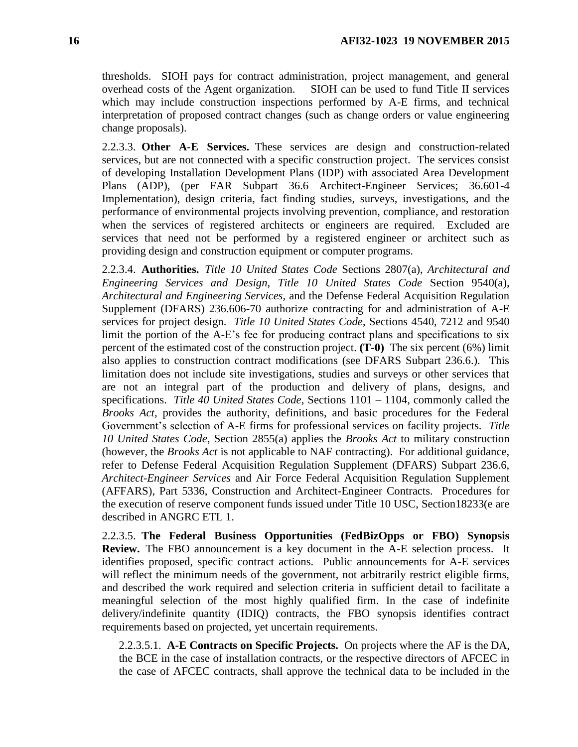thresholds. SIOH pays for contract administration, project management, and general overhead costs of the Agent organization. SIOH can be used to fund Title II services which may include construction inspections performed by A-E firms, and technical interpretation of proposed contract changes (such as change orders or value engineering change proposals).

2.2.3.3. **Other A-E Services.** These services are design and construction-related services, but are not connected with a specific construction project. The services consist of developing Installation Development Plans (IDP) with associated Area Development Plans (ADP), (per FAR Subpart 36.6 Architect-Engineer Services; 36.601-4 Implementation), design criteria, fact finding studies, surveys, investigations, and the performance of environmental projects involving prevention, compliance, and restoration when the services of registered architects or engineers are required. Excluded are services that need not be performed by a registered engineer or architect such as providing design and construction equipment or computer programs.

2.2.3.4. **Authorities.** *Title 10 United States Code* Sections 2807(a), *Architectural and Engineering Services and Design, Title 10 United States Code* Section 9540(a), *Architectural and Engineering Services,* and the Defense Federal Acquisition Regulation Supplement (DFARS) 236.606-70 authorize contracting for and administration of A-E services for project design. *Title 10 United States Code*, Sections 4540, 7212 and 9540 limit the portion of the A-E's fee for producing contract plans and specifications to six percent of the estimated cost of the construction project. **(T-0)** The six percent (6%) limit also applies to construction contract modifications (see DFARS Subpart 236.6.). This limitation does not include site investigations, studies and surveys or other services that are not an integral part of the production and delivery of plans, designs, and specifications. *Title 40 United States Code*, Sections 1101 – 1104, commonly called the *Brooks Act*, provides the authority, definitions, and basic procedures for the Federal Government's selection of A-E firms for professional services on facility projects. *Title 10 United States Code*, Section 2855(a) applies the *Brooks Act* to military construction (however, the *Brooks Act* is not applicable to NAF contracting). For additional guidance, refer to Defense Federal Acquisition Regulation Supplement (DFARS) Subpart 236.6, *Architect-Engineer Services* and Air Force Federal Acquisition Regulation Supplement (AFFARS), Part 5336, Construction and Architect-Engineer Contracts. Procedures for the execution of reserve component funds issued under Title 10 USC, Section18233(e are described in ANGRC ETL 1.

2.2.3.5. **The Federal Business Opportunities (FedBizOpps or FBO) Synopsis Review.** The FBO announcement is a key document in the A-E selection process. It identifies proposed, specific contract actions. Public announcements for A-E services will reflect the minimum needs of the government, not arbitrarily restrict eligible firms, and described the work required and selection criteria in sufficient detail to facilitate a meaningful selection of the most highly qualified firm. In the case of indefinite delivery/indefinite quantity (IDIQ) contracts, the FBO synopsis identifies contract requirements based on projected, yet uncertain requirements.

2.2.3.5.1. **A-E Contracts on Specific Projects.** On projects where the AF is the DA, the BCE in the case of installation contracts, or the respective directors of AFCEC in the case of AFCEC contracts, shall approve the technical data to be included in the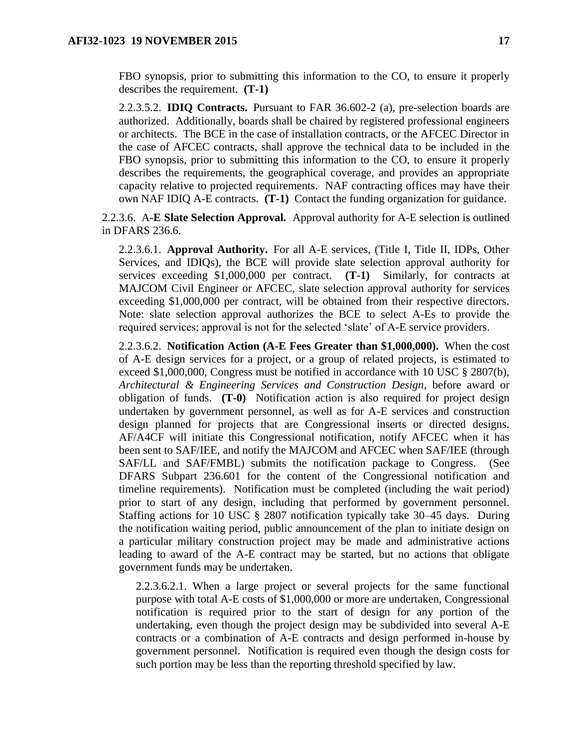FBO synopsis, prior to submitting this information to the CO, to ensure it properly describes the requirement. **(T-1)**

2.2.3.5.2. **IDIQ Contracts.** Pursuant to FAR 36.602-2 (a), pre-selection boards are authorized. Additionally, boards shall be chaired by registered professional engineers or architects. The BCE in the case of installation contracts, or the AFCEC Director in the case of AFCEC contracts, shall approve the technical data to be included in the FBO synopsis, prior to submitting this information to the CO, to ensure it properly describes the requirements, the geographical coverage, and provides an appropriate capacity relative to projected requirements. NAF contracting offices may have their own NAF IDIQ A-E contracts. **(T-1)** Contact the funding organization for guidance.

2.2.3.6. A**-E Slate Selection Approval.** Approval authority for A-E selection is outlined in DFARS 236.6.

2.2.3.6.1. **Approval Authority.** For all A-E services, (Title I, Title II, IDPs, Other Services, and IDIQs), the BCE will provide slate selection approval authority for services exceeding \$1,000,000 per contract. **(T-1)** Similarly, for contracts at MAJCOM Civil Engineer or AFCEC, slate selection approval authority for services exceeding \$1,000,000 per contract, will be obtained from their respective directors. Note: slate selection approval authorizes the BCE to select A-Es to provide the required services; approval is not for the selected 'slate' of A-E service providers.

2.2.3.6.2. **Notification Action (A-E Fees Greater than \$1,000,000).** When the cost of A-E design services for a project, or a group of related projects, is estimated to exceed \$1,000,000, Congress must be notified in accordance with 10 USC § 2807(b), *Architectural & Engineering Services and Construction Design*, before award or obligation of funds. **(T-0)** Notification action is also required for project design undertaken by government personnel, as well as for A-E services and construction design planned for projects that are Congressional inserts or directed designs. AF/A4CF will initiate this Congressional notification, notify AFCEC when it has been sent to SAF/IEE, and notify the MAJCOM and AFCEC when SAF/IEE (through SAF/LL and SAF/FMBL) submits the notification package to Congress. (See DFARS Subpart 236.601 for the content of the Congressional notification and timeline requirements). Notification must be completed (including the wait period) prior to start of any design, including that performed by government personnel. Staffing actions for 10 USC § 2807 notification typically take 30–45 days. During the notification waiting period, public announcement of the plan to initiate design on a particular military construction project may be made and administrative actions leading to award of the A-E contract may be started, but no actions that obligate government funds may be undertaken.

2.2.3.6.2.1. When a large project or several projects for the same functional purpose with total A-E costs of \$1,000,000 or more are undertaken, Congressional notification is required prior to the start of design for any portion of the undertaking, even though the project design may be subdivided into several A-E contracts or a combination of A-E contracts and design performed in-house by government personnel. Notification is required even though the design costs for such portion may be less than the reporting threshold specified by law.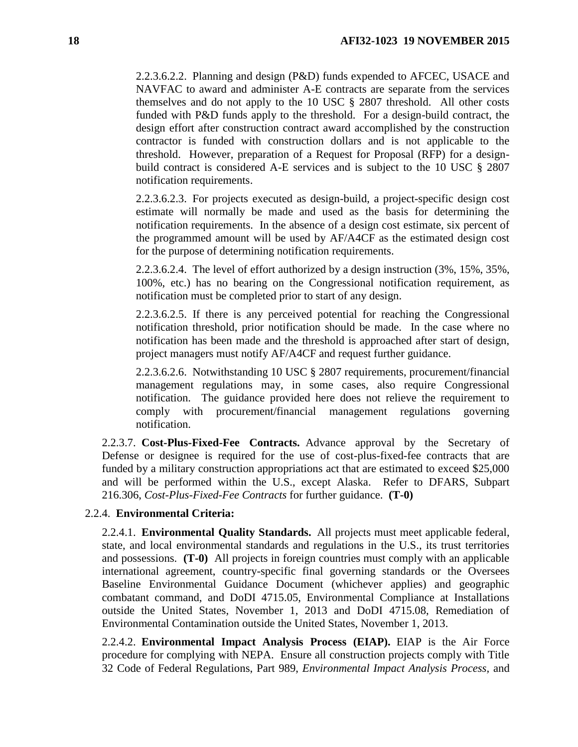2.2.3.6.2.2. Planning and design (P&D) funds expended to AFCEC, USACE and NAVFAC to award and administer A-E contracts are separate from the services themselves and do not apply to the 10 USC § 2807 threshold. All other costs funded with P&D funds apply to the threshold. For a design-build contract, the design effort after construction contract award accomplished by the construction contractor is funded with construction dollars and is not applicable to the threshold. However, preparation of a Request for Proposal (RFP) for a designbuild contract is considered A-E services and is subject to the 10 USC § 2807 notification requirements.

2.2.3.6.2.3. For projects executed as design-build, a project-specific design cost estimate will normally be made and used as the basis for determining the notification requirements. In the absence of a design cost estimate, six percent of the programmed amount will be used by AF/A4CF as the estimated design cost for the purpose of determining notification requirements.

2.2.3.6.2.4. The level of effort authorized by a design instruction (3%, 15%, 35%, 100%, etc.) has no bearing on the Congressional notification requirement, as notification must be completed prior to start of any design.

2.2.3.6.2.5. If there is any perceived potential for reaching the Congressional notification threshold, prior notification should be made. In the case where no notification has been made and the threshold is approached after start of design, project managers must notify AF/A4CF and request further guidance.

2.2.3.6.2.6. Notwithstanding 10 USC § 2807 requirements, procurement/financial management regulations may, in some cases, also require Congressional notification. The guidance provided here does not relieve the requirement to comply with procurement/financial management regulations governing notification.

2.2.3.7. **Cost-Plus-Fixed-Fee Contracts.** Advance approval by the Secretary of Defense or designee is required for the use of cost-plus-fixed-fee contracts that are funded by a military construction appropriations act that are estimated to exceed \$25,000 and will be performed within the U.S., except Alaska. Refer to DFARS, Subpart 216.306, *Cost-Plus-Fixed-Fee Contracts* for further guidance. **(T-0)**

### 2.2.4. **Environmental Criteria:**

2.2.4.1. **Environmental Quality Standards.** All projects must meet applicable federal, state, and local environmental standards and regulations in the U.S., its trust territories and possessions. **(T-0)** All projects in foreign countries must comply with an applicable international agreement, country-specific final governing standards or the Oversees Baseline Environmental Guidance Document (whichever applies) and geographic combatant command, and DoDI 4715.05, Environmental Compliance at Installations outside the United States, November 1, 2013 and DoDI 4715.08, Remediation of Environmental Contamination outside the United States, November 1, 2013.

2.2.4.2. **Environmental Impact Analysis Process (EIAP).** EIAP is the Air Force procedure for complying with NEPA. Ensure all construction projects comply with Title 32 Code of Federal Regulations, Part 989, *Environmental Impact Analysis Process,* and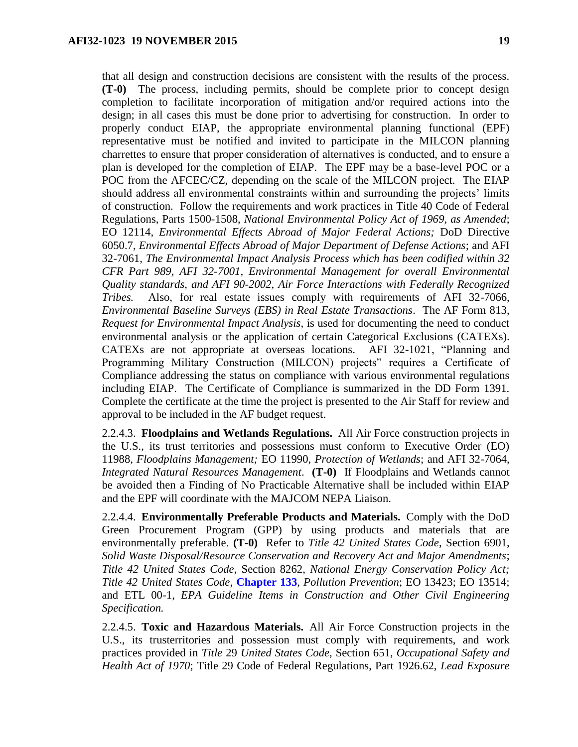that all design and construction decisions are consistent with the results of the process. **(T-0)** The process, including permits, should be complete prior to concept design completion to facilitate incorporation of mitigation and/or required actions into the design; in all cases this must be done prior to advertising for construction. In order to properly conduct EIAP, the appropriate environmental planning functional (EPF) representative must be notified and invited to participate in the MILCON planning charrettes to ensure that proper consideration of alternatives is conducted, and to ensure a plan is developed for the completion of EIAP. The EPF may be a base-level POC or a POC from the AFCEC/CZ, depending on the scale of the MILCON project. The EIAP should address all environmental constraints within and surrounding the projects' limits of construction. Follow the requirements and work practices in Title 40 Code of Federal Regulations, Parts 1500-1508, *National Environmental Policy Act of 1969, as Amended*; EO 12114, *Environmental Effects Abroad of Major Federal Actions;* DoD Directive 6050.7, *Environmental Effects Abroad of Major Department of Defense Actions*; and AFI 32-7061, *The Environmental Impact Analysis Process which has been codified within 32 CFR Part 989, AFI 32-7001, Environmental Management for overall Environmental Quality standards, and AFI 90-2002, Air Force Interactions with Federally Recognized Tribes.* Also, for real estate issues comply with requirements of AFI 32-7066, *Environmental Baseline Surveys (EBS) in Real Estate Transactions*. The AF Form 813, *Request for Environmental Impact Analysis*, is used for documenting the need to conduct environmental analysis or the application of certain Categorical Exclusions (CATEXs). CATEXs are not appropriate at overseas locations. AFI 32-1021, "Planning and Programming Military Construction (MILCON) projects" requires a Certificate of Compliance addressing the status on compliance with various environmental regulations including EIAP. The Certificate of Compliance is summarized in the DD Form 1391. Complete the certificate at the time the project is presented to the Air Staff for review and approval to be included in the AF budget request.

2.2.4.3. **Floodplains and Wetlands Regulations.** All Air Force construction projects in the U.S., its trust territories and possessions must conform to Executive Order (EO) 11988, *Floodplains Management;* EO 11990, *Protection of Wetlands*; and AFI 32-7064, *Integrated Natural Resources Management*. **(T-0)** If Floodplains and Wetlands cannot be avoided then a Finding of No Practicable Alternative shall be included within EIAP and the EPF will coordinate with the MAJCOM NEPA Liaison.

2.2.4.4. **Environmentally Preferable Products and Materials.** Comply with the DoD Green Procurement Program (GPP) by using products and materials that are environmentally preferable. **(T-0)** Refer to *Title 42 United States Code*, Section 6901, *Solid Waste Disposal/Resource Conservation and Recovery Act and Major Amendments*; *Title 42 United States Code*, Section 8262, *National Energy Conservation Policy Act; Title 42 United States Code*, **Chapter 133**, *Pollution Prevention*; EO 13423; EO 13514; and ETL 00-1, *EPA Guideline Items in Construction and Other Civil Engineering Specification.*

2.2.4.5. **Toxic and Hazardous Materials.** All Air Force Construction projects in the U.S., its trusterritories and possession must comply with requirements, and work practices provided in *Title* 29 *United States Code,* Section 651, *Occupational Safety and Health Act of 1970*; Title 29 Code of Federal Regulations, Part 1926.62, *Lead Exposure*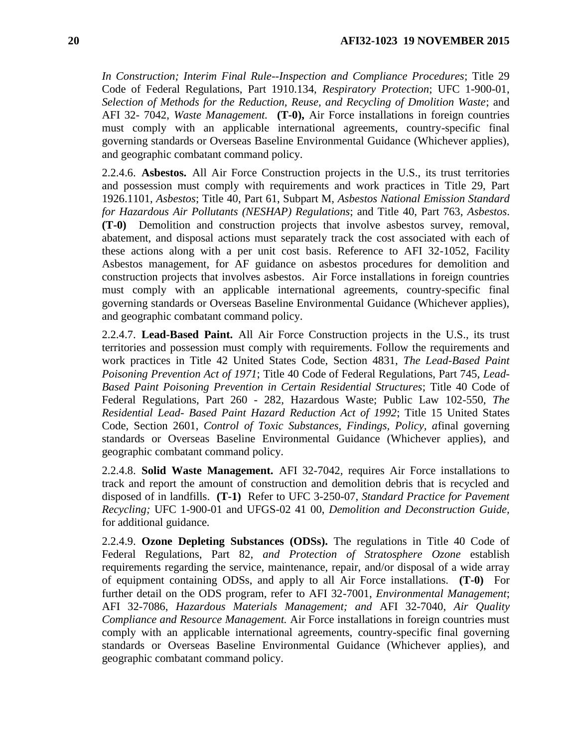*In Construction; Interim Final Rule--Inspection and Compliance Procedures*; Title 29 Code of Federal Regulations, Part 1910.134, *Respiratory Protection*; UFC 1-900-01, *Selection of Methods for the Reduction, Reuse, and Recycling of Dmolition Waste*; and AFI 32- 7042, *Waste Management.* **(T-0),** Air Force installations in foreign countries must comply with an applicable international agreements, country-specific final governing standards or Overseas Baseline Environmental Guidance (Whichever applies), and geographic combatant command policy.

2.2.4.6. **Asbestos.** All Air Force Construction projects in the U.S., its trust territories and possession must comply with requirements and work practices in Title 29, Part 1926.1101, *Asbestos*; Title 40, Part 61, Subpart M, *Asbestos National Emission Standard for Hazardous Air Pollutants (NESHAP) Regulations*; and Title 40, Part 763, *Asbestos*. **(T-0)** Demolition and construction projects that involve asbestos survey, removal, abatement, and disposal actions must separately track the cost associated with each of these actions along with a per unit cost basis. Reference to AFI 32-1052, Facility Asbestos management, for AF guidance on asbestos procedures for demolition and construction projects that involves asbestos. Air Force installations in foreign countries must comply with an applicable international agreements, country-specific final governing standards or Overseas Baseline Environmental Guidance (Whichever applies), and geographic combatant command policy.

2.2.4.7. **Lead-Based Paint.** All Air Force Construction projects in the U.S., its trust territories and possession must comply with requirements. Follow the requirements and work practices in Title 42 United States Code, Section 4831, *The Lead-Based Paint Poisoning Prevention Act of 1971*; Title 40 Code of Federal Regulations, Part 745, *Lead-Based Paint Poisoning Prevention in Certain Residential Structures*; Title 40 Code of Federal Regulations, Part 260 - 282, Hazardous Waste; Public Law 102-550, *The Residential Lead- Based Paint Hazard Reduction Act of 1992*; Title 15 United States Code, Section 2601, *Control of Toxic Substances, Findings, Policy, a*final governing standards or Overseas Baseline Environmental Guidance (Whichever applies), and geographic combatant command policy.

2.2.4.8. **Solid Waste Management.** AFI 32-7042*,* requires Air Force installations to track and report the amount of construction and demolition debris that is recycled and disposed of in landfills. **(T-1)** Refer to UFC 3-250-07, *Standard Practice for Pavement Recycling;* UFC 1-900-01 and UFGS-02 41 00, *Demolition and Deconstruction Guide,*  for additional guidance*.*

2.2.4.9. **Ozone Depleting Substances (ODSs).** The regulations in Title 40 Code of Federal Regulations, Part 82, *and Protection of Stratosphere Ozone* establish requirements regarding the service, maintenance, repair, and/or disposal of a wide array of equipment containing ODSs, and apply to all Air Force installations. **(T-0)** For further detail on the ODS program, refer to AFI 32-7001, *Environmental Management*; AFI 32-7086, *Hazardous Materials Management; and* AFI 32-7040, *Air Quality Compliance and Resource Management.* Air Force installations in foreign countries must comply with an applicable international agreements, country-specific final governing standards or Overseas Baseline Environmental Guidance (Whichever applies), and geographic combatant command policy.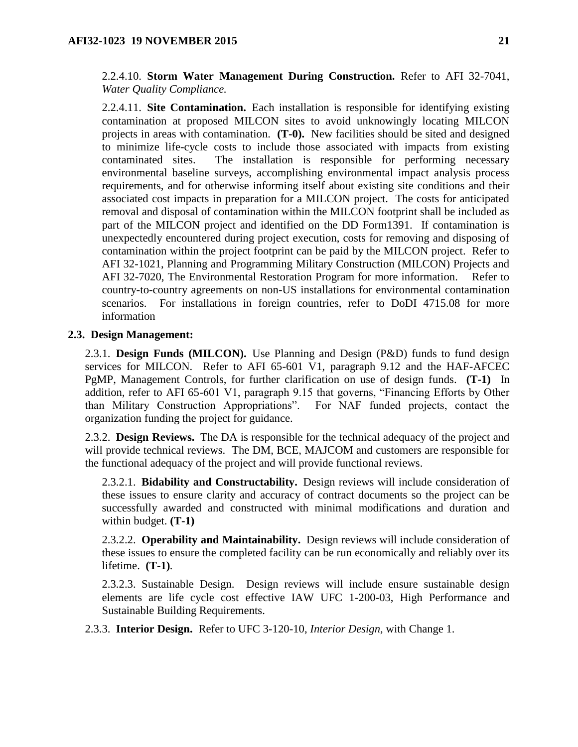2.2.4.10. **Storm Water Management During Construction.** Refer to AFI 32-7041, *Water Quality Compliance.*

2.2.4.11. **Site Contamination.** Each installation is responsible for identifying existing contamination at proposed MILCON sites to avoid unknowingly locating MILCON projects in areas with contamination. **(T-0).** New facilities should be sited and designed to minimize life-cycle costs to include those associated with impacts from existing contaminated sites. The installation is responsible for performing necessary environmental baseline surveys, accomplishing environmental impact analysis process requirements, and for otherwise informing itself about existing site conditions and their associated cost impacts in preparation for a MILCON project. The costs for anticipated removal and disposal of contamination within the MILCON footprint shall be included as part of the MILCON project and identified on the DD Form1391. If contamination is unexpectedly encountered during project execution, costs for removing and disposing of contamination within the project footprint can be paid by the MILCON project. Refer to AFI 32-1021, Planning and Programming Military Construction (MILCON) Projects and AFI 32-7020, The Environmental Restoration Program for more information. Refer to country-to-country agreements on non-US installations for environmental contamination scenarios. For installations in foreign countries, refer to DoDI 4715.08 for more information

### <span id="page-20-0"></span>**2.3. Design Management:**

2.3.1. **Design Funds (MILCON).** Use Planning and Design (P&D) funds to fund design services for MILCON. Refer to AFI 65-601 V1, paragraph 9.12 and the HAF-AFCEC PgMP, Management Controls, for further clarification on use of design funds. **(T-1)** In addition, refer to AFI 65-601 V1, paragraph 9.15 that governs, "Financing Efforts by Other than Military Construction Appropriations". For NAF funded projects, contact the organization funding the project for guidance.

2.3.2. **Design Reviews.** The DA is responsible for the technical adequacy of the project and will provide technical reviews. The DM, BCE, MAJCOM and customers are responsible for the functional adequacy of the project and will provide functional reviews.

2.3.2.1. **Bidability and Constructability.** Design reviews will include consideration of these issues to ensure clarity and accuracy of contract documents so the project can be successfully awarded and constructed with minimal modifications and duration and within budget. **(T-1)**

2.3.2.2. **Operability and Maintainability.** Design reviews will include consideration of these issues to ensure the completed facility can be run economically and reliably over its lifetime. **(T-1)***.*

2.3.2.3. Sustainable Design. Design reviews will include ensure sustainable design elements are life cycle cost effective IAW UFC 1-200-03, High Performance and Sustainable Building Requirements.

2.3.3. **Interior Design.** Refer to UFC 3-120-10, *Interior Design,* with Change 1.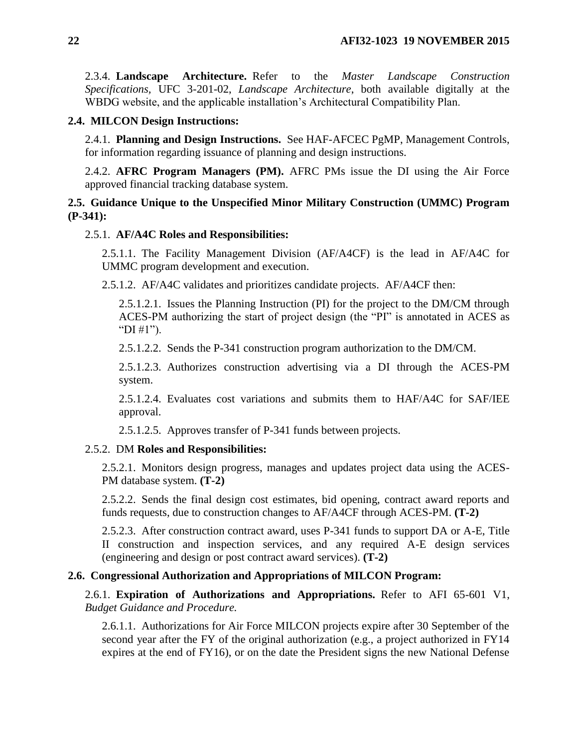2.3.4. **Landscape Architecture.** Refer to the *Master Landscape Construction Specifications,* UFC 3-201-02, *Landscape Architecture*, both available digitally at the WBDG website, and the applicable installation's Architectural Compatibility Plan.

### <span id="page-21-0"></span>**2.4. MILCON Design Instructions:**

2.4.1. **Planning and Design Instructions.** See HAF-AFCEC PgMP, Management Controls, for information regarding issuance of planning and design instructions.

2.4.2. **AFRC Program Managers (PM).** AFRC PMs issue the DI using the Air Force approved financial tracking database system.

## <span id="page-21-1"></span>**2.5. Guidance Unique to the Unspecified Minor Military Construction (UMMC) Program (P-341):**

### 2.5.1. **AF/A4C Roles and Responsibilities:**

2.5.1.1. The Facility Management Division (AF/A4CF) is the lead in AF/A4C for UMMC program development and execution.

2.5.1.2. AF/A4C validates and prioritizes candidate projects. AF/A4CF then:

2.5.1.2.1. Issues the Planning Instruction (PI) for the project to the DM/CM through ACES-PM authorizing the start of project design (the "PI" is annotated in ACES as "DI  $\#1$ ").

2.5.1.2.2. Sends the P-341 construction program authorization to the DM/CM.

2.5.1.2.3. Authorizes construction advertising via a DI through the ACES-PM system.

2.5.1.2.4. Evaluates cost variations and submits them to HAF/A4C for SAF/IEE approval.

2.5.1.2.5. Approves transfer of P-341 funds between projects.

### 2.5.2. DM **Roles and Responsibilities:**

2.5.2.1. Monitors design progress, manages and updates project data using the ACES-PM database system. **(T-2)**

2.5.2.2. Sends the final design cost estimates, bid opening, contract award reports and funds requests, due to construction changes to AF/A4CF through ACES-PM. **(T-2)**

2.5.2.3. After construction contract award, uses P-341 funds to support DA or A-E, Title II construction and inspection services, and any required A-E design services (engineering and design or post contract award services). **(T-2)**

### <span id="page-21-2"></span>**2.6. Congressional Authorization and Appropriations of MILCON Program:**

2.6.1. **Expiration of Authorizations and Appropriations.** Refer to AFI 65-601 V1, *Budget Guidance and Procedure.*

2.6.1.1. Authorizations for Air Force MILCON projects expire after 30 September of the second year after the FY of the original authorization (e.g., a project authorized in FY14 expires at the end of FY16), or on the date the President signs the new National Defense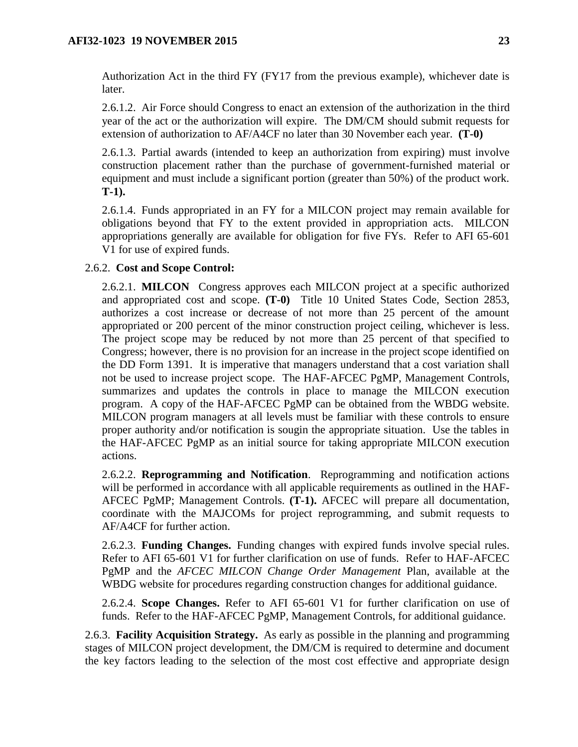Authorization Act in the third FY (FY17 from the previous example), whichever date is later.

2.6.1.2. Air Force should Congress to enact an extension of the authorization in the third year of the act or the authorization will expire. The DM/CM should submit requests for extension of authorization to AF/A4CF no later than 30 November each year. **(T-0)**

2.6.1.3. Partial awards (intended to keep an authorization from expiring) must involve construction placement rather than the purchase of government-furnished material or equipment and must include a significant portion (greater than 50%) of the product work. **T-1).**

2.6.1.4. Funds appropriated in an FY for a MILCON project may remain available for obligations beyond that FY to the extent provided in appropriation acts. MILCON appropriations generally are available for obligation for five FYs. Refer to AFI 65-601 V1 for use of expired funds.

## 2.6.2. **Cost and Scope Control:**

2.6.2.1. **MILCON** Congress approves each MILCON project at a specific authorized and appropriated cost and scope. **(T-0)** Title 10 United States Code, Section 2853, authorizes a cost increase or decrease of not more than 25 percent of the amount appropriated or 200 percent of the minor construction project ceiling, whichever is less. The project scope may be reduced by not more than 25 percent of that specified to Congress; however, there is no provision for an increase in the project scope identified on the DD Form 1391. It is imperative that managers understand that a cost variation shall not be used to increase project scope. The HAF-AFCEC PgMP, Management Controls, summarizes and updates the controls in place to manage the MILCON execution program. A copy of the HAF-AFCEC PgMP can be obtained from the WBDG website. MILCON program managers at all levels must be familiar with these controls to ensure proper authority and/or notification is sougin the appropriate situation. Use the tables in the HAF-AFCEC PgMP as an initial source for taking appropriate MILCON execution actions.

2.6.2.2. **Reprogramming and Notification**. Reprogramming and notification actions will be performed in accordance with all applicable requirements as outlined in the HAF-AFCEC PgMP; Management Controls. **(T-1).** AFCEC will prepare all documentation, coordinate with the MAJCOMs for project reprogramming, and submit requests to AF/A4CF for further action.

2.6.2.3. **Funding Changes.** Funding changes with expired funds involve special rules. Refer to AFI 65-601 V1 for further clarification on use of funds. Refer to HAF-AFCEC PgMP and the *AFCEC MILCON Change Order Management* Plan, available at the WBDG website for procedures regarding construction changes for additional guidance.

2.6.2.4. **Scope Changes.** Refer to AFI 65-601 V1 for further clarification on use of funds. Refer to the HAF-AFCEC PgMP, Management Controls, for additional guidance.

2.6.3. **Facility Acquisition Strategy.** As early as possible in the planning and programming stages of MILCON project development, the DM/CM is required to determine and document the key factors leading to the selection of the most cost effective and appropriate design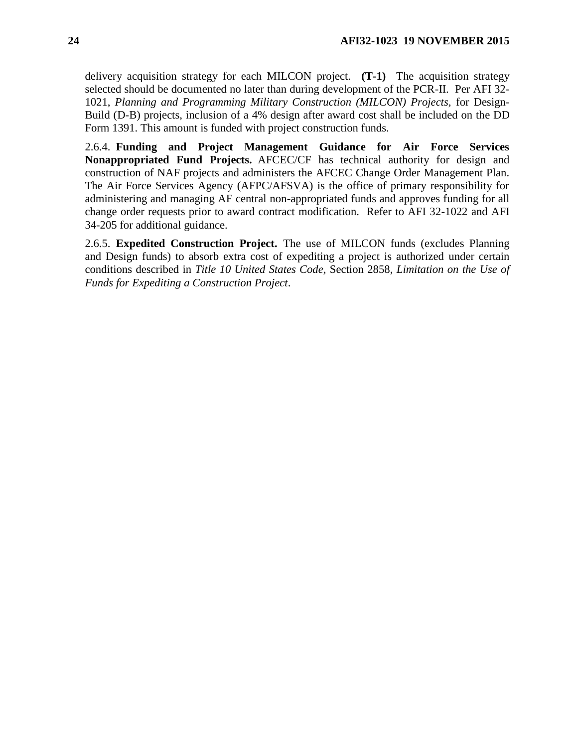delivery acquisition strategy for each MILCON project. **(T-1)** The acquisition strategy selected should be documented no later than during development of the PCR-II. Per AFI 32- 1021, *Planning and Programming Military Construction (MILCON) Projects,* for Design-Build (D-B) projects, inclusion of a 4% design after award cost shall be included on the DD Form 1391. This amount is funded with project construction funds.

2.6.4. **Funding and Project Management Guidance for Air Force Services Nonappropriated Fund Projects.** AFCEC/CF has technical authority for design and construction of NAF projects and administers the AFCEC Change Order Management Plan. The Air Force Services Agency (AFPC/AFSVA) is the office of primary responsibility for administering and managing AF central non-appropriated funds and approves funding for all change order requests prior to award contract modification. Refer to AFI 32-1022 and AFI 34-205 for additional guidance.

2.6.5. **Expedited Construction Project.** The use of MILCON funds (excludes Planning and Design funds) to absorb extra cost of expediting a project is authorized under certain conditions described in *Title 10 United States Code,* Section 2858, *Limitation on the Use of Funds for Expediting a Construction Project*.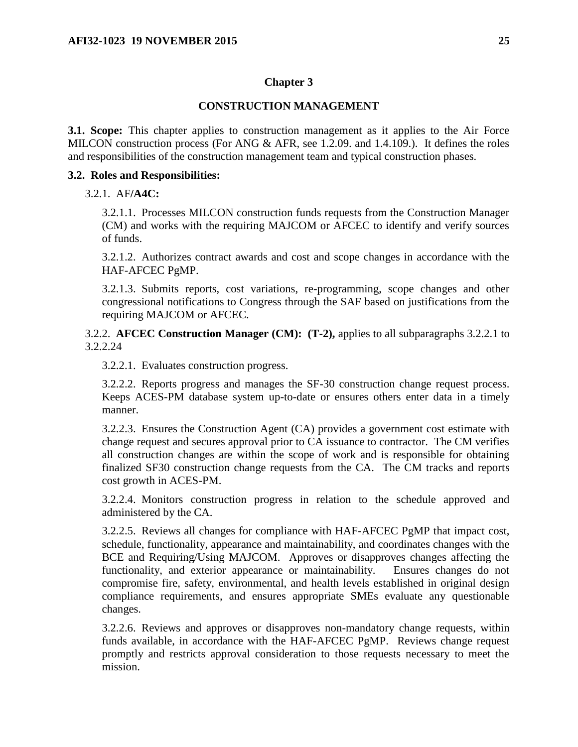### **Chapter 3**

### **CONSTRUCTION MANAGEMENT**

<span id="page-24-1"></span><span id="page-24-0"></span>**3.1. Scope:** This chapter applies to construction management as it applies to the Air Force MILCON construction process (For ANG  $&$  AFR, see 1.2.09. and 1.4.109.). It defines the roles and responsibilities of the construction management team and typical construction phases.

### <span id="page-24-2"></span>**3.2. Roles and Responsibilities:**

### 3.2.1. AF**/A4C:**

3.2.1.1. Processes MILCON construction funds requests from the Construction Manager (CM) and works with the requiring MAJCOM or AFCEC to identify and verify sources of funds.

3.2.1.2. Authorizes contract awards and cost and scope changes in accordance with the HAF-AFCEC PgMP.

3.2.1.3. Submits reports, cost variations, re-programming, scope changes and other congressional notifications to Congress through the SAF based on justifications from the requiring MAJCOM or AFCEC.

3.2.2. **AFCEC Construction Manager (CM): (T-2),** applies to all subparagraphs 3.2.2.1 to 3.2.2.24

3.2.2.1. Evaluates construction progress.

3.2.2.2. Reports progress and manages the SF-30 construction change request process. Keeps ACES-PM database system up-to-date or ensures others enter data in a timely manner.

3.2.2.3. Ensures the Construction Agent (CA) provides a government cost estimate with change request and secures approval prior to CA issuance to contractor. The CM verifies all construction changes are within the scope of work and is responsible for obtaining finalized SF30 construction change requests from the CA. The CM tracks and reports cost growth in ACES-PM.

3.2.2.4. Monitors construction progress in relation to the schedule approved and administered by the CA.

3.2.2.5. Reviews all changes for compliance with HAF-AFCEC PgMP that impact cost, schedule, functionality, appearance and maintainability, and coordinates changes with the BCE and Requiring/Using MAJCOM. Approves or disapproves changes affecting the functionality, and exterior appearance or maintainability. Ensures changes do not compromise fire, safety, environmental, and health levels established in original design compliance requirements, and ensures appropriate SMEs evaluate any questionable changes.

3.2.2.6. Reviews and approves or disapproves non-mandatory change requests, within funds available, in accordance with the HAF-AFCEC PgMP. Reviews change request promptly and restricts approval consideration to those requests necessary to meet the mission.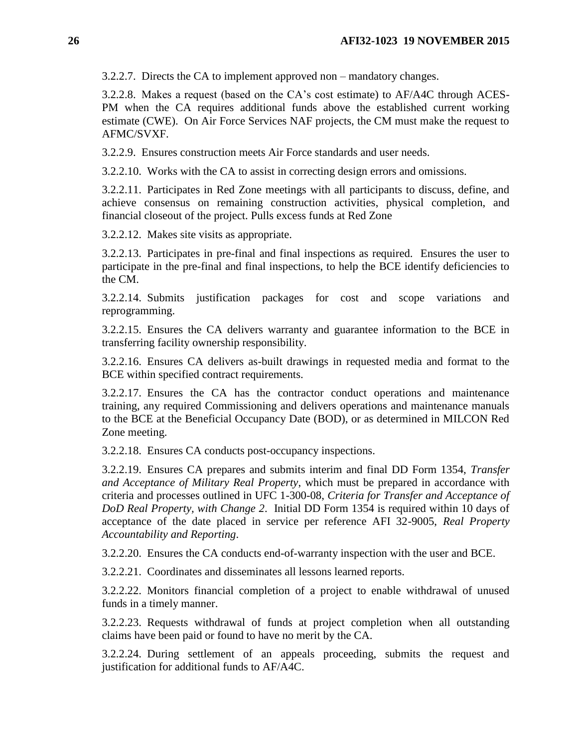3.2.2.7. Directs the CA to implement approved non – mandatory changes.

3.2.2.8. Makes a request (based on the CA's cost estimate) to AF/A4C through ACES-PM when the CA requires additional funds above the established current working estimate (CWE). On Air Force Services NAF projects, the CM must make the request to AFMC/SVXF.

3.2.2.9. Ensures construction meets Air Force standards and user needs.

3.2.2.10. Works with the CA to assist in correcting design errors and omissions.

3.2.2.11. Participates in Red Zone meetings with all participants to discuss, define, and achieve consensus on remaining construction activities, physical completion, and financial closeout of the project. Pulls excess funds at Red Zone

3.2.2.12. Makes site visits as appropriate.

3.2.2.13. Participates in pre-final and final inspections as required. Ensures the user to participate in the pre-final and final inspections, to help the BCE identify deficiencies to the CM.

3.2.2.14. Submits justification packages for cost and scope variations and reprogramming.

3.2.2.15. Ensures the CA delivers warranty and guarantee information to the BCE in transferring facility ownership responsibility.

3.2.2.16. Ensures CA delivers as-built drawings in requested media and format to the BCE within specified contract requirements.

3.2.2.17. Ensures the CA has the contractor conduct operations and maintenance training, any required Commissioning and delivers operations and maintenance manuals to the BCE at the Beneficial Occupancy Date (BOD), or as determined in MILCON Red Zone meeting.

3.2.2.18. Ensures CA conducts post-occupancy inspections.

3.2.2.19. Ensures CA prepares and submits interim and final DD Form 1354, *Transfer and Acceptance of Military Real Property*, which must be prepared in accordance with criteria and processes outlined in UFC 1-300-08, *Criteria for Transfer and Acceptance of DoD Real Property, with Change 2*. Initial DD Form 1354 is required within 10 days of acceptance of the date placed in service per reference AFI 32-9005, *Real Property Accountability and Reporting*.

3.2.2.20. Ensures the CA conducts end-of-warranty inspection with the user and BCE.

3.2.2.21. Coordinates and disseminates all lessons learned reports.

3.2.2.22. Monitors financial completion of a project to enable withdrawal of unused funds in a timely manner.

3.2.2.23. Requests withdrawal of funds at project completion when all outstanding claims have been paid or found to have no merit by the CA.

3.2.2.24. During settlement of an appeals proceeding, submits the request and justification for additional funds to AF/A4C.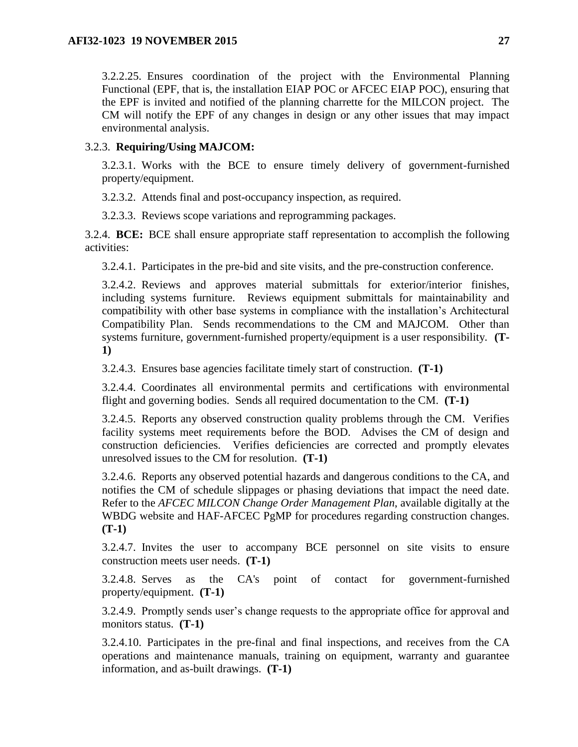3.2.2.25. Ensures coordination of the project with the Environmental Planning Functional (EPF, that is, the installation EIAP POC or AFCEC EIAP POC), ensuring that the EPF is invited and notified of the planning charrette for the MILCON project. The CM will notify the EPF of any changes in design or any other issues that may impact environmental analysis.

## 3.2.3. **Requiring/Using MAJCOM:**

3.2.3.1. Works with the BCE to ensure timely delivery of government-furnished property/equipment.

3.2.3.2. Attends final and post-occupancy inspection, as required.

3.2.3.3. Reviews scope variations and reprogramming packages.

3.2.4. **BCE:** BCE shall ensure appropriate staff representation to accomplish the following activities:

3.2.4.1. Participates in the pre-bid and site visits, and the pre-construction conference.

3.2.4.2. Reviews and approves material submittals for exterior/interior finishes, including systems furniture. Reviews equipment submittals for maintainability and compatibility with other base systems in compliance with the installation's Architectural Compatibility Plan. Sends recommendations to the CM and MAJCOM. Other than systems furniture, government-furnished property/equipment is a user responsibility. **(T-1)**

3.2.4.3. Ensures base agencies facilitate timely start of construction. **(T-1)**

3.2.4.4. Coordinates all environmental permits and certifications with environmental flight and governing bodies. Sends all required documentation to the CM. **(T-1)**

3.2.4.5. Reports any observed construction quality problems through the CM. Verifies facility systems meet requirements before the BOD. Advises the CM of design and construction deficiencies. Verifies deficiencies are corrected and promptly elevates unresolved issues to the CM for resolution. **(T-1)**

3.2.4.6. Reports any observed potential hazards and dangerous conditions to the CA, and notifies the CM of schedule slippages or phasing deviations that impact the need date. Refer to the *AFCEC MILCON Change Order Management Plan*, available digitally at the WBDG website and HAF-AFCEC PgMP for procedures regarding construction changes. **(T-1)**

3.2.4.7. Invites the user to accompany BCE personnel on site visits to ensure construction meets user needs. **(T-1)**

3.2.4.8. Serves as the CA's point of contact for government-furnished property/equipment. **(T-1)**

3.2.4.9. Promptly sends user's change requests to the appropriate office for approval and monitors status. **(T-1)**

3.2.4.10. Participates in the pre-final and final inspections, and receives from the CA operations and maintenance manuals, training on equipment, warranty and guarantee information, and as-built drawings. **(T-1)**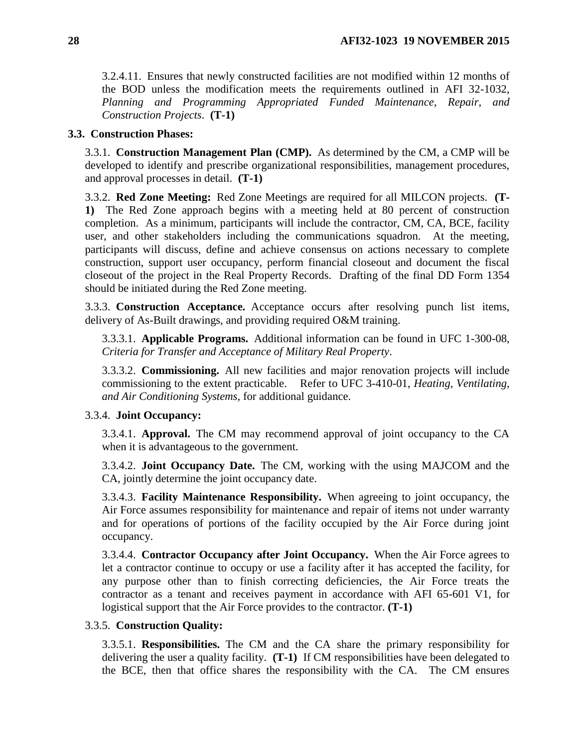3.2.4.11. Ensures that newly constructed facilities are not modified within 12 months of the BOD unless the modification meets the requirements outlined in AFI 32-1032, *Planning and Programming Appropriated Funded Maintenance, Repair, and Construction Projects*. **(T-1)**

#### <span id="page-27-0"></span>**3.3. Construction Phases:**

3.3.1. **Construction Management Plan (CMP).** As determined by the CM, a CMP will be developed to identify and prescribe organizational responsibilities, management procedures, and approval processes in detail. **(T-1)**

3.3.2. **Red Zone Meeting:** Red Zone Meetings are required for all MILCON projects. **(T-1)** The Red Zone approach begins with a meeting held at 80 percent of construction completion. As a minimum, participants will include the contractor, CM, CA, BCE, facility user, and other stakeholders including the communications squadron. At the meeting, participants will discuss, define and achieve consensus on actions necessary to complete construction, support user occupancy, perform financial closeout and document the fiscal closeout of the project in the Real Property Records. Drafting of the final DD Form 1354 should be initiated during the Red Zone meeting.

3.3.3. **Construction Acceptance.** Acceptance occurs after resolving punch list items, delivery of As-Built drawings, and providing required O&M training.

3.3.3.1. **Applicable Programs.** Additional information can be found in UFC 1-300-08, *Criteria for Transfer and Acceptance of Military Real Property*.

3.3.3.2. **Commissioning.** All new facilities and major renovation projects will include commissioning to the extent practicable. Refer to UFC 3-410-01, *Heating, Ventilating, and Air Conditioning Systems,* for additional guidance.

### 3.3.4. **Joint Occupancy:**

3.3.4.1. **Approval.** The CM may recommend approval of joint occupancy to the CA when it is advantageous to the government.

3.3.4.2. **Joint Occupancy Date.** The CM, working with the using MAJCOM and the CA, jointly determine the joint occupancy date.

3.3.4.3. **Facility Maintenance Responsibility.** When agreeing to joint occupancy, the Air Force assumes responsibility for maintenance and repair of items not under warranty and for operations of portions of the facility occupied by the Air Force during joint occupancy.

3.3.4.4. **Contractor Occupancy after Joint Occupancy.** When the Air Force agrees to let a contractor continue to occupy or use a facility after it has accepted the facility, for any purpose other than to finish correcting deficiencies, the Air Force treats the contractor as a tenant and receives payment in accordance with AFI 65-601 V1, for logistical support that the Air Force provides to the contractor. **(T-1)**

### 3.3.5. **Construction Quality:**

3.3.5.1. **Responsibilities.** The CM and the CA share the primary responsibility for delivering the user a quality facility. **(T-1)** If CM responsibilities have been delegated to the BCE, then that office shares the responsibility with the CA. The CM ensures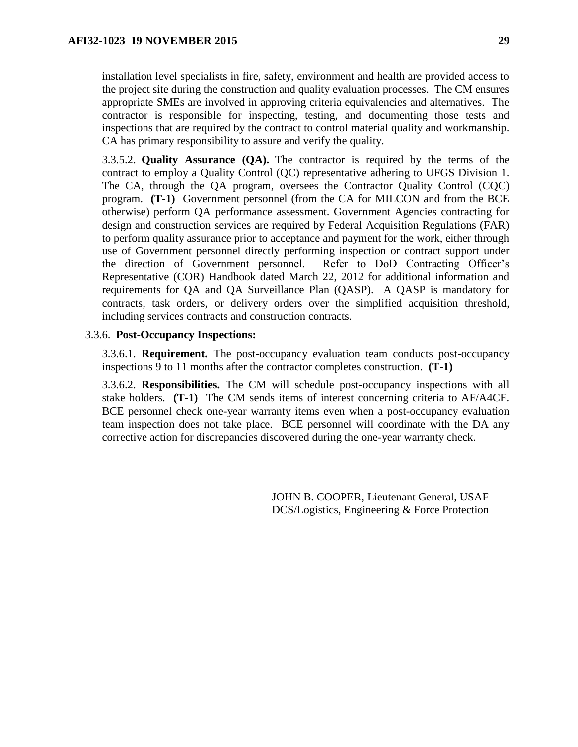installation level specialists in fire, safety, environment and health are provided access to the project site during the construction and quality evaluation processes. The CM ensures appropriate SMEs are involved in approving criteria equivalencies and alternatives. The contractor is responsible for inspecting, testing, and documenting those tests and inspections that are required by the contract to control material quality and workmanship. CA has primary responsibility to assure and verify the quality.

3.3.5.2. **Quality Assurance (QA).** The contractor is required by the terms of the contract to employ a Quality Control (QC) representative adhering to UFGS Division 1. The CA, through the QA program, oversees the Contractor Quality Control (CQC) program. **(T-1)** Government personnel (from the CA for MILCON and from the BCE otherwise) perform QA performance assessment. Government Agencies contracting for design and construction services are required by Federal Acquisition Regulations (FAR) to perform quality assurance prior to acceptance and payment for the work, either through use of Government personnel directly performing inspection or contract support under the direction of Government personnel. Refer to DoD Contracting Officer's Representative (COR) Handbook dated March 22, 2012 for additional information and requirements for QA and QA Surveillance Plan (QASP). A QASP is mandatory for contracts, task orders, or delivery orders over the simplified acquisition threshold, including services contracts and construction contracts.

#### 3.3.6. **Post-Occupancy Inspections:**

3.3.6.1. **Requirement.** The post-occupancy evaluation team conducts post-occupancy inspections 9 to 11 months after the contractor completes construction. **(T-1)**

3.3.6.2. **Responsibilities.** The CM will schedule post-occupancy inspections with all stake holders. **(T-1)** The CM sends items of interest concerning criteria to AF/A4CF. BCE personnel check one-year warranty items even when a post-occupancy evaluation team inspection does not take place. BCE personnel will coordinate with the DA any corrective action for discrepancies discovered during the one-year warranty check.

> JOHN B. COOPER, Lieutenant General, USAF DCS/Logistics, Engineering & Force Protection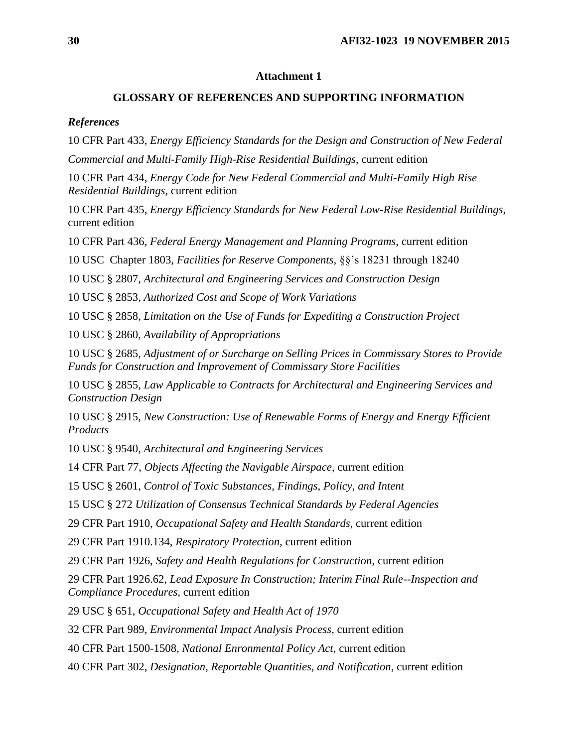### **Attachment 1**

### **GLOSSARY OF REFERENCES AND SUPPORTING INFORMATION**

### <span id="page-29-0"></span>*References*

10 CFR Part 433, *Energy Efficiency Standards for the Design and Construction of New Federal Commercial and Multi-Family High-Rise Residential Buildings*, current edition

10 CFR Part 434, *Energy Code for New Federal Commercial and Multi-Family High Rise Residential Buildings*, current edition

10 CFR Part 435, *Energy Efficiency Standards for New Federal Low-Rise Residential Buildings*, current edition

10 CFR Part 436, *Federal Energy Management and Planning Programs*, current edition

10 USC Chapter 1803, *Facilities for Reserve Components,* §§'s 18231 through 18240

10 USC § 2807, *Architectural and Engineering Services and Construction Design*

10 USC § 2853, *Authorized Cost and Scope of Work Variations*

10 USC § 2858, *Limitation on the Use of Funds for Expediting a Construction Project*

10 USC § 2860, *Availability of Appropriations*

10 USC § 2685, *Adjustment of or Surcharge on Selling Prices in Commissary Stores to Provide Funds for Construction and Improvement of Commissary Store Facilities*

10 USC § 2855*, Law Applicable to Contracts for Architectural and Engineering Services and Construction Design*

10 USC § 2915, *New Construction: Use of Renewable Forms of Energy and Energy Efficient Products*

10 USC § 9540, *Architectural and Engineering Services*

14 CFR Part 77, *Objects Affecting the Navigable Airspace*, current edition

15 USC § 2601, *Control of Toxic Substances, Findings, Policy, and Intent*

15 USC § 272 *Utilization of Consensus Technical Standards by Federal Agencies*

29 CFR Part 1910, *Occupational Safety and Health Standards*, current edition

29 CFR Part 1910.134, *Respiratory Protection*, current edition

29 CFR Part 1926, *Safety and Health Regulations for Construction*, current edition

29 CFR Part 1926.62, *Lead Exposure In Construction; Interim Final Rule--Inspection and Compliance Procedures,* current edition

29 USC § 651, *Occupational Safety and Health Act of 1970*

32 CFR Part 989, *Environmental Impact Analysis Process*, current edition

40 CFR Part 1500-1508, *National Enronmental Policy Act*, current edition

40 CFR Part 302, *Designation, Reportable Quantities, and Notification*, current edition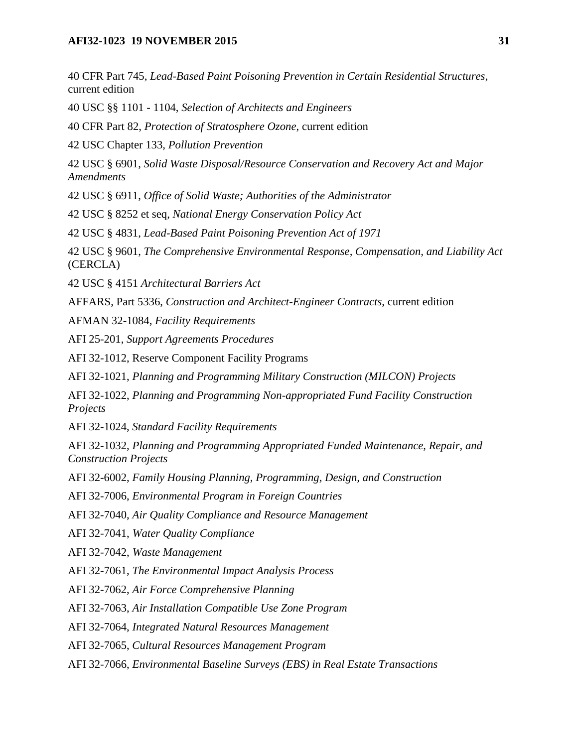### **AFI32-1023 19 NOVEMBER 2015 31**

40 CFR Part 745, *Lead-Based Paint Poisoning Prevention in Certain Residential Structures*, current edition

40 USC §§ 1101 - 1104, *Selection of Architects and Engineers*

40 CFR Part 82, *Protection of Stratosphere Ozone*, current edition

42 USC Chapter 133, *Pollution Prevention*

42 USC § 6901, *Solid Waste Disposal/Resource Conservation and Recovery Act and Major Amendments*

42 USC § 6911, *Office of Solid Waste; Authorities of the Administrator*

42 USC § 8252 et seq, *National Energy Conservation Policy Act*

42 USC § 4831, *Lead-Based Paint Poisoning Prevention Act of 1971*

42 USC § 9601, *The Comprehensive Environmental Response, Compensation, and Liability Act*  (CERCLA)

42 USC § 4151 *Architectural Barriers Act*

AFFARS, Part 5336, *Construction and Architect-Engineer Contracts*, current edition

AFMAN 32-1084, *Facility Requirements*

AFI 25-201, *Support Agreements Procedures*

AFI 32-1012, Reserve Component Facility Programs

AFI 32-1021, *Planning and Programming Military Construction (MILCON) Projects*

AFI 32-1022, *Planning and Programming Non-appropriated Fund Facility Construction Projects*

AFI 32-1024, *Standard Facility Requirements*

AFI 32-1032, *Planning and Programming Appropriated Funded Maintenance, Repair, and Construction Projects*

AFI 32-6002, *Family Housing Planning, Programming, Design, and Construction*

AFI 32-7006, *Environmental Program in Foreign Countries*

AFI 32-7040, *Air Quality Compliance and Resource Management*

AFI 32-7041, *Water Quality Compliance*

AFI 32-7042, *Waste Management*

AFI 32-7061, *The Environmental Impact Analysis Process*

AFI 32-7062, *Air Force Comprehensive Planning*

AFI 32-7063, *Air Installation Compatible Use Zone Program*

AFI 32-7064, *Integrated Natural Resources Management*

AFI 32-7065, *Cultural Resources Management Program*

AFI 32-7066, *Environmental Baseline Surveys (EBS) in Real Estate Transactions*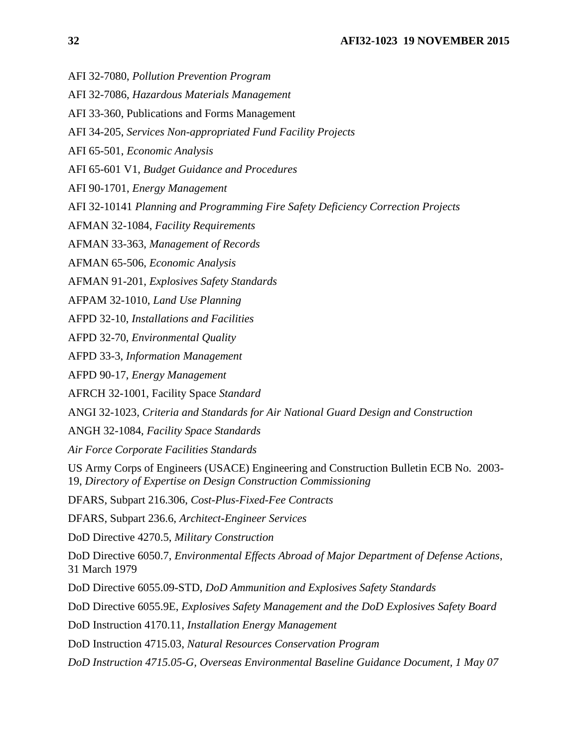- AFI 32-7080, *Pollution Prevention Program*
- AFI 32-7086, *Hazardous Materials Management*
- AFI 33-360, Publications and Forms Management
- AFI 34-205, *Services Non-appropriated Fund Facility Projects*
- AFI 65-501, *Economic Analysis*
- AFI 65-601 V1, *Budget Guidance and Procedures*
- AFI 90-1701, *Energy Management*
- AFI 32-10141 *Planning and Programming Fire Safety Deficiency Correction Projects*
- AFMAN 32-1084, *Facility Requirements*
- AFMAN 33-363, *Management of Records*
- AFMAN 65-506, *Economic Analysis*
- AFMAN 91-201, *Explosives Safety Standards*
- AFPAM 32-1010, *Land Use Planning*
- AFPD 32-10, *Installations and Facilities*
- AFPD 32-70, *Environmental Quality*
- AFPD 33-3, *Information Management*
- AFPD 90-17, *Energy Management*
- AFRCH 32-1001, Facility Space *Standard*
- ANGI 32-1023*, Criteria and Standards for Air National Guard Design and Construction*
- ANGH 32-1084, *Facility Space Standards*
- *Air Force Corporate Facilities Standards*
- US Army Corps of Engineers (USACE) Engineering and Construction Bulletin ECB No. 2003- 19, *Directory of Expertise on Design Construction Commissioning*
- DFARS, Subpart 216.306, *Cost-Plus-Fixed-Fee Contracts*
- DFARS, Subpart 236.6, *Architect-Engineer Services*
- DoD Directive 4270.5, *Military Construction*
- DoD Directive 6050.7, *Environmental Effects Abroad of Major Department of Defense Actions*, 31 March 1979
- DoD Directive 6055.09-STD, *DoD Ammunition and Explosives Safety Standards*
- DoD Directive 6055.9E, *Explosives Safety Management and the DoD Explosives Safety Board*
- DoD Instruction 4170.11, *Installation Energy Management*
- DoD Instruction 4715.03, *Natural Resources Conservation Program*
- *DoD Instruction 4715.05-G, Overseas Environmental Baseline Guidance Document, 1 May 07*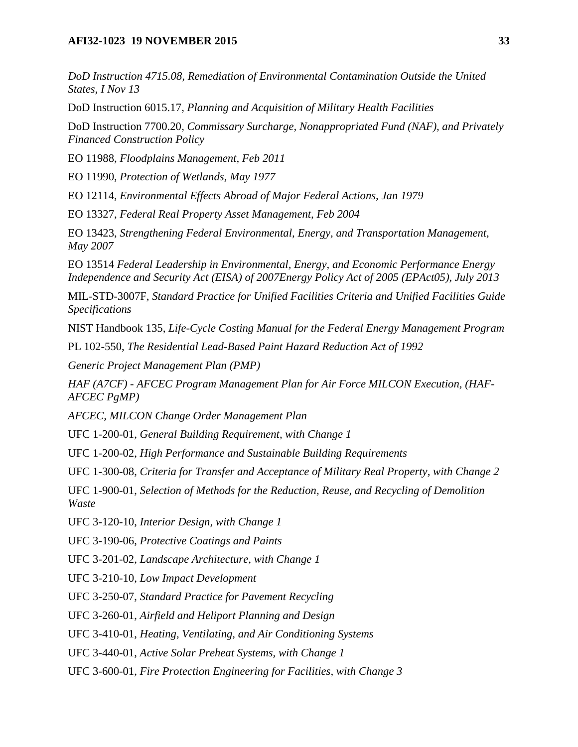### **AFI32-1023 19 NOVEMBER 2015 33**

*DoD Instruction 4715.08, Remediation of Environmental Contamination Outside the United States, I Nov 13*

DoD Instruction 6015.17, *Planning and Acquisition of Military Health Facilities*

DoD Instruction 7700.20, *Commissary Surcharge, Nonappropriated Fund (NAF), and Privately Financed Construction Policy*

EO 11988, *Floodplains Management, Feb 2011*

EO 11990, *Protection of Wetlands, May 1977*

EO 12114, *Environmental Effects Abroad of Major Federal Actions, Jan 1979*

EO 13327, *Federal Real Property Asset Management, Feb 2004*

EO 13423, *Strengthening Federal Environmental, Energy, and Transportation Management, May 2007*

EO 13514 *Federal Leadership in Environmental, Energy, and Economic Performance Energy Independence and Security Act (EISA) of 2007Energy Policy Act of 2005 (EPAct05), July 2013*

MIL-STD-3007F, *Standard Practice for Unified Facilities Criteria and Unified Facilities Guide Specifications*

NIST Handbook 135, *Life-Cycle Costing Manual for the Federal Energy Management Program*

PL 102-550, *The Residential Lead-Based Paint Hazard Reduction Act of 1992*

*Generic Project Management Plan (PMP)*

*HAF (A7CF) - AFCEC Program Management Plan for Air Force MILCON Execution, (HAF-AFCEC PgMP)*

*AFCEC, MILCON Change Order Management Plan*

UFC 1-200-01, *General Building Requirement, with Change 1*

UFC 1-200-02, *High Performance and Sustainable Building Requirements*

UFC 1-300-08, *Criteria for Transfer and Acceptance of Military Real Property, with Change 2*

UFC 1-900-01, *Selection of Methods for the Reduction, Reuse, and Recycling of Demolition Waste*

UFC 3-120-10, *Interior Design, with Change 1*

UFC 3-190-06, *Protective Coatings and Paints*

UFC 3-201-02, *Landscape Architecture, with Change 1*

UFC 3-210-10, *Low Impact Development*

UFC 3-250-07, *Standard Practice for Pavement Recycling*

UFC 3-260-01, *Airfield and Heliport Planning and Design*

UFC 3-410-01, *Heating, Ventilating, and Air Conditioning Systems*

UFC 3-440-01, *Active Solar Preheat Systems, with Change 1*

UFC 3-600-01, *Fire Protection Engineering for Facilities, with Change 3*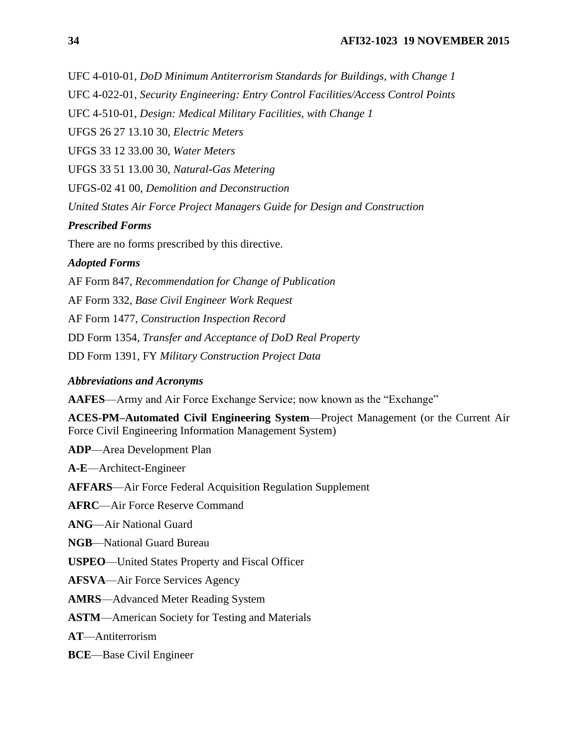UFC 4-010-01, *DoD Minimum Antiterrorism Standards for Buildings, with Change 1*

UFC 4-022-01, *Security Engineering: Entry Control Facilities/Access Control Points*

UFC 4-510-01, *Design: Medical Military Facilities, with Change 1*

UFGS 26 27 13.10 30, *Electric Meters*

UFGS 33 12 33.00 30, *Water Meters*

UFGS 33 51 13.00 30, *Natural-Gas Metering*

UFGS-02 41 00, *Demolition and Deconstruction*

*United States Air Force Project Managers Guide for Design and Construction*

#### *Prescribed Forms*

There are no forms prescribed by this directive.

#### *Adopted Forms*

AF Form 847, *Recommendation for Change of Publication*

AF Form 332, *Base Civil Engineer Work Request*

AF Form 1477, *Construction Inspection Record*

DD Form 1354, *Transfer and Acceptance of DoD Real Property*

DD Form 1391, FY *Military Construction Project Data*

#### *Abbreviations and Acronyms*

**AAFES**—Army and Air Force Exchange Service; now known as the "Exchange"

**ACES-PM–Automated Civil Engineering System**—Project Management (or the Current Air Force Civil Engineering Information Management System)

**ADP**—Area Development Plan

**A-E**—Architect-Engineer

**AFFARS**—Air Force Federal Acquisition Regulation Supplement

**AFRC**—Air Force Reserve Command

**ANG**—Air National Guard

**NGB**—National Guard Bureau

**USPEO**—United States Property and Fiscal Officer

**AFSVA**—Air Force Services Agency

**AMRS**—Advanced Meter Reading System

**ASTM**—American Society for Testing and Materials

**AT**—Antiterrorism

**BCE**—Base Civil Engineer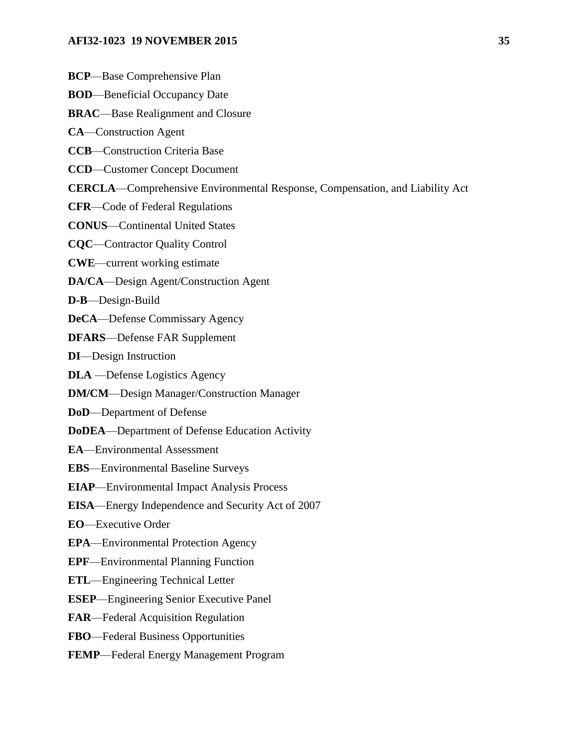#### **AFI32-1023 19 NOVEMBER 2015 35**

- **BCP**—Base Comprehensive Plan
- **BOD**—Beneficial Occupancy Date
- **BRAC**—Base Realignment and Closure
- **CA**—Construction Agent
- **CCB**—Construction Criteria Base
- **CCD**—Customer Concept Document
- **CERCLA**—Comprehensive Environmental Response, Compensation, and Liability Act
- **CFR**—Code of Federal Regulations
- **CONUS**—Continental United States
- **CQC**—Contractor Quality Control
- **CWE**—current working estimate
- **DA/CA**—Design Agent/Construction Agent
- **D-B**—Design-Build
- **DeCA**—Defense Commissary Agency
- **DFARS**—Defense FAR Supplement
- **DI**—Design Instruction
- **DLA** —Defense Logistics Agency
- **DM/CM**—Design Manager/Construction Manager
- **DoD**—Department of Defense
- **DoDEA**—Department of Defense Education Activity
- **EA**—Environmental Assessment
- **EBS**—Environmental Baseline Surveys
- **EIAP**—Environmental Impact Analysis Process
- **EISA**—Energy Independence and Security Act of 2007
- **EO**—Executive Order
- **EPA**—Environmental Protection Agency
- **EPF**—Environmental Planning Function
- **ETL**—Engineering Technical Letter
- **ESEP**—Engineering Senior Executive Panel
- **FAR**—Federal Acquisition Regulation
- **FBO**—Federal Business Opportunities
- **FEMP**—Federal Energy Management Program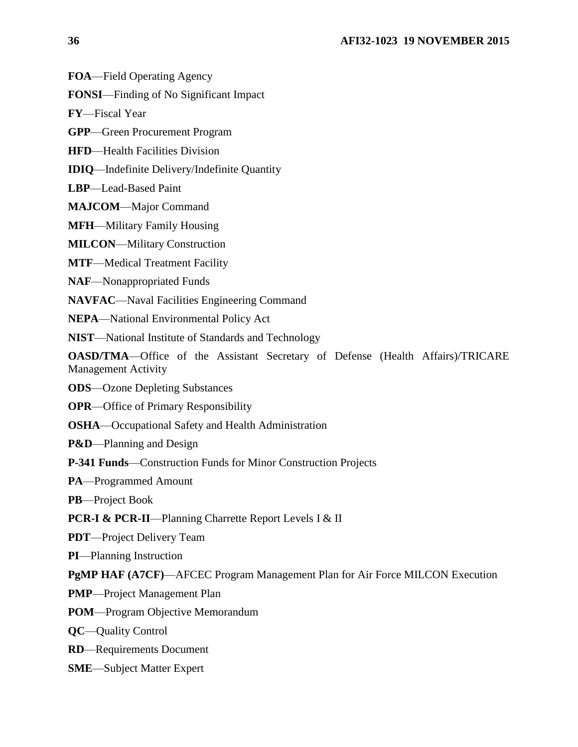**FOA**—Field Operating Agency

**FONSI**—Finding of No Significant Impact

**FY**—Fiscal Year

**GPP**—Green Procurement Program

**HFD**—Health Facilities Division

**IDIQ**—Indefinite Delivery/Indefinite Quantity

**LBP**—Lead-Based Paint

**MAJCOM**—Major Command

**MFH**—Military Family Housing

**MILCON**—Military Construction

**MTF**—Medical Treatment Facility

**NAF**—Nonappropriated Funds

**NAVFAC**—Naval Facilities Engineering Command

**NEPA**—National Environmental Policy Act

**NIST**—National Institute of Standards and Technology

**OASD/TMA**—Office of the Assistant Secretary of Defense (Health Affairs)/TRICARE Management Activity

**ODS**—Ozone Depleting Substances

**OPR**—Office of Primary Responsibility

**OSHA**—Occupational Safety and Health Administration

**P&D**—Planning and Design

**P-341 Funds**—Construction Funds for Minor Construction Projects

**PA**—Programmed Amount

**PB**—Project Book

**PCR-I & PCR-II—Planning Charrette Report Levels I & II** 

**PDT**—Project Delivery Team

**PI**—Planning Instruction

**PgMP HAF (A7CF)**—AFCEC Program Management Plan for Air Force MILCON Execution

**PMP**—Project Management Plan

**POM**—Program Objective Memorandum

**QC**—Quality Control

**RD**—Requirements Document

**SME**—Subject Matter Expert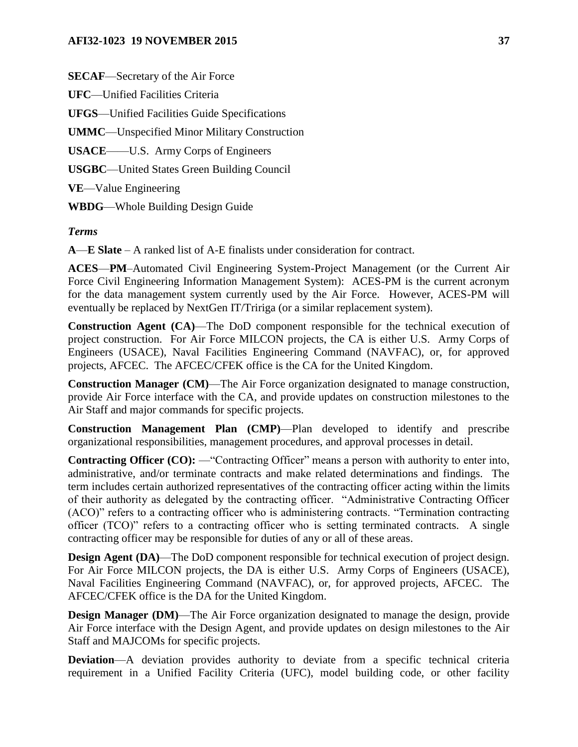### **AFI32-1023 19 NOVEMBER 2015 37**

**SECAF**—Secretary of the Air Force

**UFC**—Unified Facilities Criteria

**UFGS**—Unified Facilities Guide Specifications

**UMMC**—Unspecified Minor Military Construction

**USACE**——U.S. Army Corps of Engineers

**USGBC**—United States Green Building Council

**VE**—Value Engineering

**WBDG**—Whole Building Design Guide

### *Terms*

**A**—**E Slate** – A ranked list of A-E finalists under consideration for contract.

**ACES**—**PM**–Automated Civil Engineering System-Project Management (or the Current Air Force Civil Engineering Information Management System): ACES-PM is the current acronym for the data management system currently used by the Air Force. However, ACES-PM will eventually be replaced by NextGen IT/Tririga (or a similar replacement system).

**Construction Agent (CA)**—The DoD component responsible for the technical execution of project construction. For Air Force MILCON projects, the CA is either U.S. Army Corps of Engineers (USACE), Naval Facilities Engineering Command (NAVFAC), or, for approved projects, AFCEC. The AFCEC/CFEK office is the CA for the United Kingdom.

**Construction Manager (CM)**—The Air Force organization designated to manage construction, provide Air Force interface with the CA, and provide updates on construction milestones to the Air Staff and major commands for specific projects.

**Construction Management Plan (CMP)**—Plan developed to identify and prescribe organizational responsibilities, management procedures, and approval processes in detail.

**Contracting Officer (CO):** — "Contracting Officer" means a person with authority to enter into, administrative, and/or terminate contracts and make related determinations and findings. The term includes certain authorized representatives of the contracting officer acting within the limits of their authority as delegated by the contracting officer. "Administrative Contracting Officer (ACO)" refers to a contracting officer who is administering contracts. "Termination contracting officer (TCO)" refers to a contracting officer who is setting terminated contracts. A single contracting officer may be responsible for duties of any or all of these areas.

**Design Agent (DA)—The DoD component responsible for technical execution of project design.** For Air Force MILCON projects, the DA is either U.S. Army Corps of Engineers (USACE), Naval Facilities Engineering Command (NAVFAC), or, for approved projects, AFCEC. The AFCEC/CFEK office is the DA for the United Kingdom.

**Design Manager (DM)—The Air Force organization designated to manage the design, provide** Air Force interface with the Design Agent, and provide updates on design milestones to the Air Staff and MAJCOMs for specific projects.

**Deviation—A** deviation provides authority to deviate from a specific technical criteria requirement in a Unified Facility Criteria (UFC), model building code, or other facility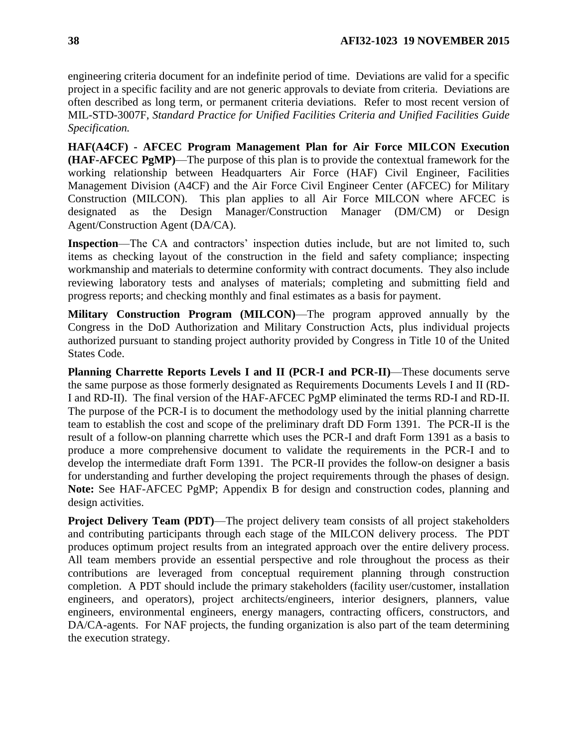engineering criteria document for an indefinite period of time. Deviations are valid for a specific project in a specific facility and are not generic approvals to deviate from criteria. Deviations are often described as long term, or permanent criteria deviations. Refer to most recent version of MIL-STD-3007F, *Standard Practice for Unified Facilities Criteria and Unified Facilities Guide Specification.*

**HAF(A4CF) - AFCEC Program Management Plan for Air Force MILCON Execution (HAF-AFCEC PgMP)**—The purpose of this plan is to provide the contextual framework for the working relationship between Headquarters Air Force (HAF) Civil Engineer, Facilities Management Division (A4CF) and the Air Force Civil Engineer Center (AFCEC) for Military Construction (MILCON). This plan applies to all Air Force MILCON where AFCEC is designated as the Design Manager/Construction Manager (DM/CM) or Design Agent/Construction Agent (DA/CA).

**Inspection**—The CA and contractors' inspection duties include, but are not limited to, such items as checking layout of the construction in the field and safety compliance; inspecting workmanship and materials to determine conformity with contract documents. They also include reviewing laboratory tests and analyses of materials; completing and submitting field and progress reports; and checking monthly and final estimates as a basis for payment.

**Military Construction Program (MILCON)**—The program approved annually by the Congress in the DoD Authorization and Military Construction Acts, plus individual projects authorized pursuant to standing project authority provided by Congress in Title 10 of the United States Code.

**Planning Charrette Reports Levels I and II (PCR-I and PCR-II)**—These documents serve the same purpose as those formerly designated as Requirements Documents Levels I and II (RD-I and RD-II). The final version of the HAF-AFCEC PgMP eliminated the terms RD-I and RD-II. The purpose of the PCR-I is to document the methodology used by the initial planning charrette team to establish the cost and scope of the preliminary draft DD Form 1391. The PCR-II is the result of a follow-on planning charrette which uses the PCR-I and draft Form 1391 as a basis to produce a more comprehensive document to validate the requirements in the PCR-I and to develop the intermediate draft Form 1391. The PCR-II provides the follow-on designer a basis for understanding and further developing the project requirements through the phases of design. **Note:** See HAF-AFCEC PgMP; Appendix B for design and construction codes, planning and design activities.

**Project Delivery Team (PDT)—The project delivery team consists of all project stakeholders** and contributing participants through each stage of the MILCON delivery process. The PDT produces optimum project results from an integrated approach over the entire delivery process. All team members provide an essential perspective and role throughout the process as their contributions are leveraged from conceptual requirement planning through construction completion. A PDT should include the primary stakeholders (facility user/customer, installation engineers, and operators), project architects/engineers, interior designers, planners, value engineers, environmental engineers, energy managers, contracting officers, constructors, and DA/CA-agents. For NAF projects, the funding organization is also part of the team determining the execution strategy.